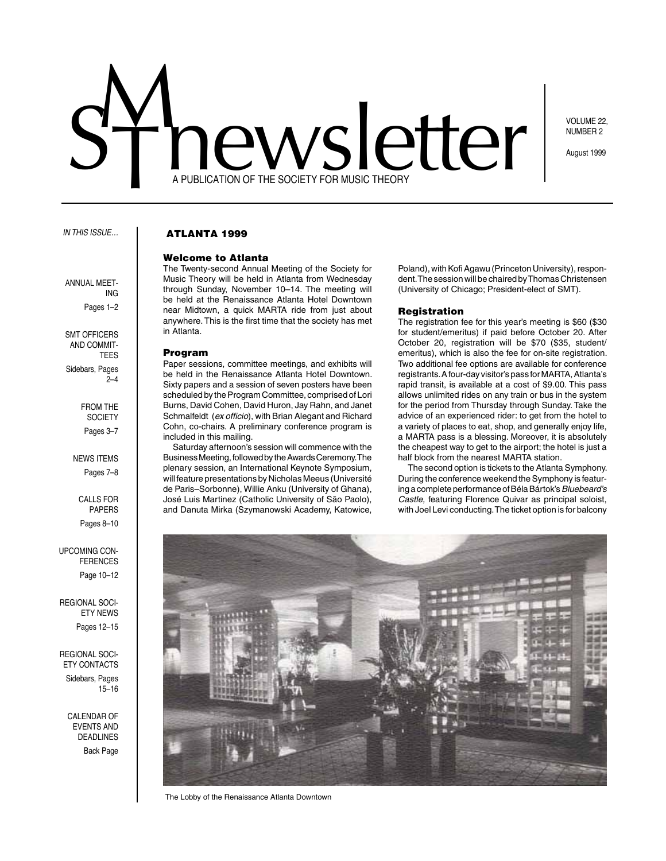# A PUBLICATION OF THE SOCIETY FOR MUSIC THEORY ewsletter

VOLUME 22, NUMBER 2

August 1999

#### *In this issue…*

annual meet-

SMT OFFICERS and Commit-**TEES** 

Sidebars, Pages

From the **SOCIETY** Pages 3–7

**NEWS ITEMS** Pages 7–8

> Calls for **PAPERS** Pages 8–10

Upcoming Conferences Page 10–12

Regional Society News Pages 12–15

Regional Soci-ETY CONTACTS Sidebars, Pages 15–16

> CAI FNDAR OF events and deadlines Back Page

ing Pages 1–2

2–4

# ATLANTA 1999

#### Welcome to Atlanta

The Twenty-second Annual Meeting of the Society for Music Theory will be held in Atlanta from Wednesday through Sunday, November 10–14. The meeting will be held at the Renaissance Atlanta Hotel Downtown near Midtown, a quick MARTA ride from just about anywhere. This is the first time that the society has met in Atlanta.

## Program

Paper sessions, committee meetings, and exhibits will be held in the Renaissance Atlanta Hotel Downtown. Sixty papers and a session of seven posters have been scheduled by the Program Committee, comprised of Lori Burns, David Cohen, David Huron, Jay Rahn, and Janet Schmalfeldt (*ex officio*), with Brian Alegant and Richard Cohn, co-chairs. A preliminary conference program is included in this mailing.

Saturday afternoon's session will commence with the Business Meeting, followed by the Awards Ceremony. The plenary session, an International Keynote Symposium, will feature presentations by Nicholas Meeus (Université de Paris–Sorbonne), Willie Anku (University of Ghana), José Luis Martinez (Catholic University of São Paolo), and Danuta Mirka (Szymanowski Academy, Katowice,

Poland), with Kofi Agawu (Princeton University), respondent. The session will be chaired by Thomas Christensen (University of Chicago; President-elect of SMT).

#### Registration

The registration fee for this year's meeting is \$60 (\$30 for student/emeritus) if paid before October 20. After October 20, registration will be \$70 (\$35, student/ emeritus), which is also the fee for on-site registration. Two additional fee options are available for conference registrants. A four-day visitor's pass for MARTA, Atlanta's rapid transit, is available at a cost of \$9.00. This pass allows unlimited rides on any train or bus in the system for the period from Thursday through Sunday. Take the advice of an experienced rider: to get from the hotel to a variety of places to eat, shop, and generally enjoy life, a MARTA pass is a blessing. Moreover, it is absolutely the cheapest way to get to the airport; the hotel is just a half block from the nearest MARTA station.

The second option is tickets to the Atlanta Symphony. During the conference weekend the Symphony is featuring a complete performance of Béla Bártok's *Bluebeard's Castle,* featuring Florence Quivar as principal soloist, with Joel Levi conducting. The ticket option is for balcony



The Lobby of the Renaissance Atlanta Downtown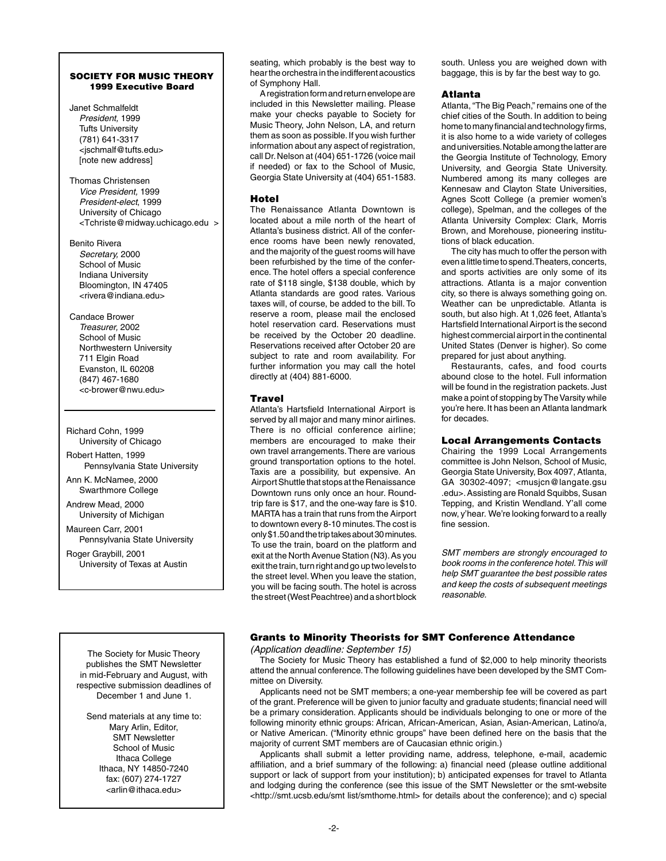## SOCIETY FOR MUSIC THEORY 1999 Executive Board

Janet Schmalfeldt *President,* 1999 Tufts University (781) 641-3317 <jschmalf@tufts.edu> [note new address]

Thomas Christensen *Vice President,* 1999 *President-elect*, 1999 University of Chicago <Tchriste@midway.uchicago.edu >

Benito Rivera *Secretary,* 2000 School of Music Indiana University Bloomington, IN 47405 <rivera@indiana.edu>

Candace Brower *Treasurer,* 2002 School of Music Northwestern University 711 Elgin Road Evanston, IL 60208 (847) 467-1680 <c-brower@nwu.edu>

Richard Cohn, 1999 University of Chicago

Robert Hatten, 1999 Pennsylvania State University

Ann K. McNamee, 2000 Swarthmore College

Andrew Mead, 2000 University of Michigan

Maureen Carr, 2001 Pennsylvania State University

Roger Graybill, 2001 University of Texas at Austin

The Society for Music Theory publishes the SMT Newsletter in mid-February and August, with respective submission deadlines of December 1 and June 1.

Send materials at any time to: Mary Arlin, Editor, SMT Newsletter School of Music Ithaca College Ithaca, NY 14850-7240 fax: (607) 274-1727 <arlin@ithaca.edu>

seating, which probably is the best way to hear the orchestra in the indifferent acoustics of Symphony Hall.

A registration form and return envelope are included in this Newsletter mailing. Please make your checks payable to Society for Music Theory, John Nelson, LA, and return them as soon as possible. If you wish further information about any aspect of registration, call Dr. Nelson at (404) 651-1726 (voice mail if needed) or fax to the School of Music, Georgia State University at (404) 651-1583.

## **Hotel**

The Renaissance Atlanta Downtown is located about a mile north of the heart of Atlanta's business district. All of the conference rooms have been newly renovated, and the majority of the guest rooms will have been refurbished by the time of the conference. The hotel offers a special conference rate of \$118 single, \$138 double, which by Atlanta standards are good rates. Various taxes will, of course, be added to the bill. To reserve a room, please mail the enclosed hotel reservation card. Reservations must be received by the October 20 deadline. Reservations received after October 20 are subject to rate and room availability. For further information you may call the hotel directly at (404) 881-6000.

# **Travel**

Atlanta's Hartsfield International Airport is served by all major and many minor airlines. There is no official conference airline; members are encouraged to make their own travel arrangements. There are various ground transportation options to the hotel. Taxis are a possibility, but expensive. An Airport Shuttle that stops at the Renaissance Downtown runs only once an hour. Roundtrip fare is \$17, and the one-way fare is \$10. MARTA has a train that runs from the Airport to downtown every 8-10 minutes. The cost is only \$1.50 and the trip takes about 30 minutes. To use the train, board on the platform and exit at the North Avenue Station (N3). As you exit the train, turn right and go up two levels to the street level. When you leave the station, you will be facing south. The hotel is across the street (West Peachtree) and a short block south. Unless you are weighed down with baggage, this is by far the best way to go.

## Atlanta

Atlanta, "The Big Peach," remains one of the chief cities of the South. In addition to being home to many financial and technology firms, it is also home to a wide variety of colleges and universities. Notable among the latter are the Georgia Institute of Technology, Emory University, and Georgia State University. Numbered among its many colleges are Kennesaw and Clayton State Universities, Agnes Scott College (a premier women's college), Spelman, and the colleges of the Atlanta University Complex: Clark, Morris Brown, and Morehouse, pioneering institutions of black education.

The city has much to offer the person with even a little time to spend. Theaters, concerts, and sports activities are only some of its attractions. Atlanta is a major convention city, so there is always something going on. Weather can be unpredictable. Atlanta is south, but also high. At 1,026 feet, Atlanta's Hartsfield International Airport is the second highest commercial airport in the continental United States (Denver is higher). So come prepared for just about anything.

Restaurants, cafes, and food courts abound close to the hotel. Full information will be found in the registration packets. Just make a point of stopping by The Varsity while you're here. It has been an Atlanta landmark for decades.

# Local Arrangements Contacts

Chairing the 1999 Local Arrangements committee is John Nelson, School of Music, Georgia State University, Box 4097, Atlanta, GA 30302-4097; <musjcn@langate.gsu .edu>. Assisting are Ronald Squibbs, Susan Tepping, and Kristin Wendland. Y'all come now, y'hear. We're looking forward to a really fine session.

*SMT members are strongly encouraged to book rooms in the conference hotel. This will help SMT guarantee the best possible rates and keep the costs of subsequent meetings reasonable.*

# Grants to Minority Theorists for SMT Conference Attendance

*(Application deadline: September 15)*

The Society for Music Theory has established a fund of \$2,000 to help minority theorists attend the annual conference. The following guidelines have been developed by the SMT Committee on Diversity.

Applicants need not be SMT members; a one-year membership fee will be covered as part of the grant. Preference will be given to junior faculty and graduate students; financial need will be a primary consideration. Applicants should be individuals belonging to one or more of the following minority ethnic groups: African, African-American, Asian, Asian-American, Latino/a, or Native American. ("Minority ethnic groups" have been defined here on the basis that the majority of current SMT members are of Caucasian ethnic origin.)

Applicants shall submit a letter providing name, address, telephone, e-mail, academic affiliation, and a brief summary of the following: a) financial need (please outline additional support or lack of support from your institution); b) anticipated expenses for travel to Atlanta and lodging during the conference (see this issue of the SMT Newsletter or the smt-website <http://smt.ucsb.edu/smt list/smthome.html> for details about the conference); and c) special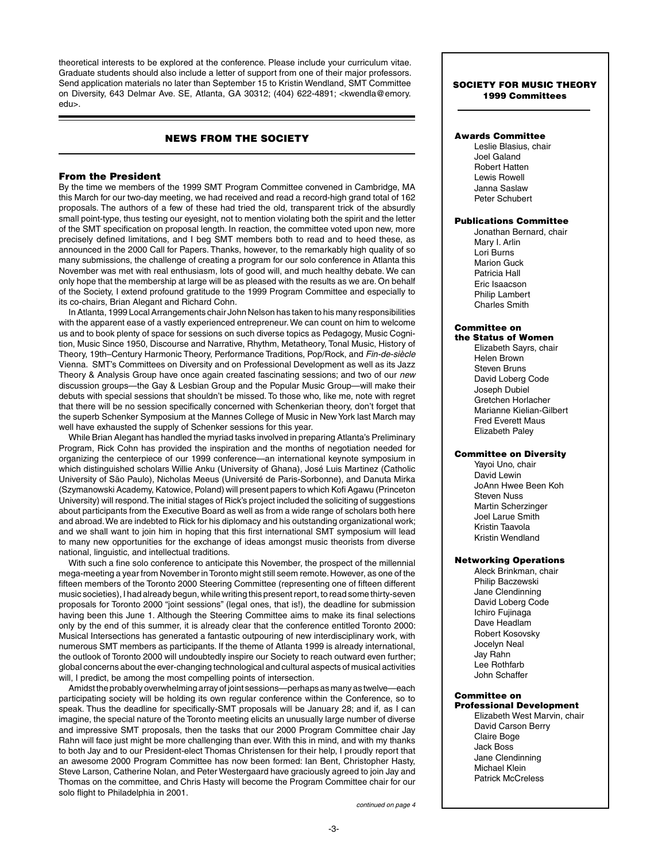theoretical interests to be explored at the conference. Please include your curriculum vitae. Graduate students should also include a letter of support from one of their major professors. Send application materials no later than September 15 to Kristin Wendland, SMT Committee on Diversity, 643 Delmar Ave. SE, Atlanta, GA 30312; (404) 622-4891; <kwendla@emory. edu>.

# NEWS FROM THE SOCIETY

#### From the President

By the time we members of the 1999 SMT Program Committee convened in Cambridge, MA this March for our two-day meeting, we had received and read a record-high grand total of 162 proposals. The authors of a few of these had tried the old, transparent trick of the absurdly small point-type, thus testing our eyesight, not to mention violating both the spirit and the letter of the SMT specification on proposal length. In reaction, the committee voted upon new, more precisely defined limitations, and I beg SMT members both to read and to heed these, as announced in the 2000 Call for Papers. Thanks, however, to the remarkably high quality of so many submissions, the challenge of creating a program for our solo conference in Atlanta this November was met with real enthusiasm, lots of good will, and much healthy debate. We can only hope that the membership at large will be as pleased with the results as we are. On behalf of the Society, I extend profound gratitude to the 1999 Program Committee and especially to its co-chairs, Brian Alegant and Richard Cohn.

In Atlanta, 1999 Local Arrangements chair John Nelson has taken to his many responsibilities with the apparent ease of a vastly experienced entrepreneur. We can count on him to welcome us and to book plenty of space for sessions on such diverse topics as Pedagogy, Music Cognition, Music Since 1950, Discourse and Narrative, Rhythm, Metatheory, Tonal Music, History of Theory, 19th–Century Harmonic Theory, Performance Traditions, Pop/Rock, and *Fin-de-siècle* Vienna. SMT's Committees on Diversity and on Professional Development as well as its Jazz Theory & Analysis Group have once again created fascinating sessions; and two of our *new* discussion groups—the Gay & Lesbian Group and the Popular Music Group—will make their debuts with special sessions that shouldn't be missed. To those who, like me, note with regret that there will be no session specifically concerned with Schenkerian theory, don't forget that the superb Schenker Symposium at the Mannes College of Music in New York last March may well have exhausted the supply of Schenker sessions for this year.

While Brian Alegant has handled the myriad tasks involved in preparing Atlanta's Preliminary Program, Rick Cohn has provided the inspiration and the months of negotiation needed for organizing the centerpiece of our 1999 conference—an international keynote symposium in which distinguished scholars Willie Anku (University of Ghana), José Luis Martinez (Catholic University of São Paulo), Nicholas Meeus (Université de Paris-Sorbonne), and Danuta Mirka (Szymanowski Academy, Katowice, Poland) will present papers to which Kofi Agawu (Princeton University) will respond. The initial stages of Rick's project included the soliciting of suggestions about participants from the Executive Board as well as from a wide range of scholars both here and abroad. We are indebted to Rick for his diplomacy and his outstanding organizational work; and we shall want to join him in hoping that this first international SMT symposium will lead to many new opportunities for the exchange of ideas amongst music theorists from diverse national, linguistic, and intellectual traditions.

With such a fine solo conference to anticipate this November, the prospect of the millennial mega-meeting a year from November in Toronto might still seem remote. However, as one of the fifteen members of the Toronto 2000 Steering Committee (representing one of fifteen different music societies), I had already begun, while writing this present report, to read some thirty-seven proposals for Toronto 2000 "joint sessions" (legal ones, that is!), the deadline for submission having been this June 1. Although the Steering Committee aims to make its final selections only by the end of this summer, it is already clear that the conference entitled Toronto 2000: Musical Intersections has generated a fantastic outpouring of new interdisciplinary work, with numerous SMT members as participants. If the theme of Atlanta 1999 is already international, the outlook of Toronto 2000 will undoubtedly inspire our Society to reach outward even further; global concerns about the ever-changing technological and cultural aspects of musical activities will, I predict, be among the most compelling points of intersection.

Amidst the probably overwhelming array of joint sessions—perhaps as many as twelve—each participating society will be holding its own regular conference within the Conference, so to speak. Thus the deadline for specifically-SMT proposals will be January 28; and if, as I can imagine, the special nature of the Toronto meeting elicits an unusually large number of diverse and impressive SMT proposals, then the tasks that our 2000 Program Committee chair Jay Rahn will face just might be more challenging than ever. With this in mind, and with my thanks to both Jay and to our President-elect Thomas Christensen for their help, I proudly report that an awesome 2000 Program Committee has now been formed: Ian Bent, Christopher Hasty, Steve Larson, Catherine Nolan, and Peter Westergaard have graciously agreed to join Jay and Thomas on the committee, and Chris Hasty will become the Program Committee chair for our solo flight to Philadelphia in 2001.

## SOCIETY FOR MUSIC THEORY 1999 Committees

#### Awards Committee

Leslie Blasius, chair Joel Galand Robert Hatten Lewis Rowell Janna Saslaw Peter Schubert

## Publications Committee

Jonathan Bernard, chair Mary I. Arlin Lori Burns Marion Guck Patricia Hall Eric Isaacson Philip Lambert Charles Smith

# Committee on

the Status of Women Elizabeth Sayrs, chair Helen Brown Steven Bruns David Loberg Code Joseph Dubiel Gretchen Horlacher Marianne Kielian-Gilbert Fred Everett Maus Elizabeth Paley

## Committee on Diversity

Yayoi Uno, chair David Lewin JoAnn Hwee Been Koh Steven Nuss Martin Scherzinger Joel Larue Smith Kristin Taavola Kristin Wendland

#### Networking Operations

Aleck Brinkman, chair Philip Baczewski Jane Clendinning David Loberg Code Ichiro Fujinaga Dave Headlam Robert Kosovsky Jocelyn Neal Jay Rahn Lee Rothfarb John Schaffer

# Committee on

Professional Development Elizabeth West Marvin, chair David Carson Berry Claire Boge Jack Boss Jane Clendinning Michael Klein Patrick McCreless

*continued on page 4*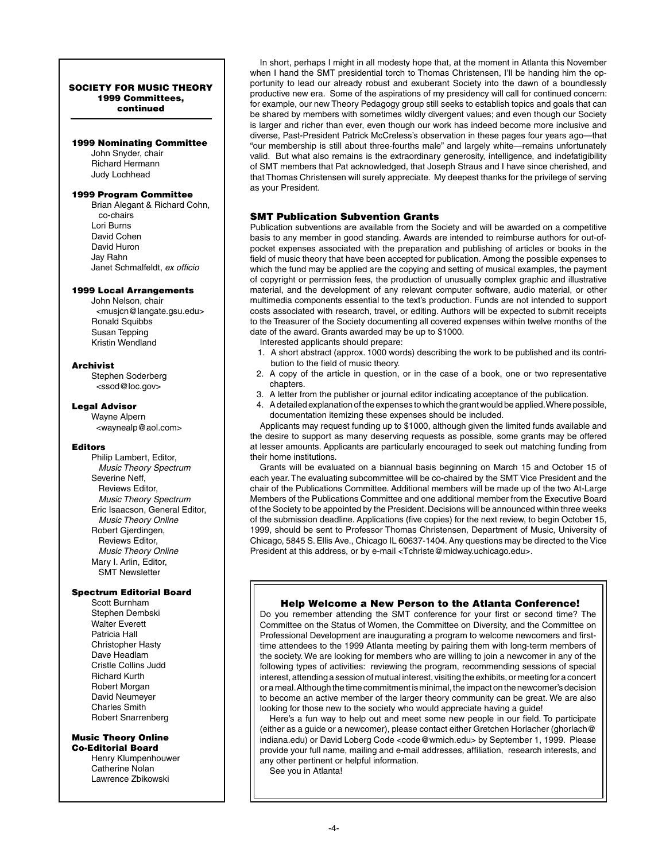#### SOCIETY FOR MUSIC THEORY 1999 Committees, continued

#### 1999 Nominating Committee

John Snyder, chair Richard Hermann Judy Lochhead

#### 1999 Program Committee

Brian Alegant & Richard Cohn, co-chairs Lori Burns David Cohen David Huron Jay Rahn Janet Schmalfeldt, *ex officio*

#### 1999 Local Arrangements

John Nelson, chair <musjcn@langate.gsu.edu> Ronald Squibbs Susan Tepping Kristin Wendland

## Archivist

Stephen Soderberg <ssod@loc.gov>

#### Legal Advisor

Wayne Alpern <waynealp@aol.com>

### Editors

Philip Lambert, Editor,  *Music Theory Spectrum* Severine Neff, Reviews Editor,  *Music Theory Spectrum* Eric Isaacson, General Editor,  *Music Theory Online* Robert Gjerdingen, Reviews Editor,  *Music Theory Online* Mary I. Arlin, Editor, SMT Newsletter

## Spectrum Editorial Board

Scott Burnham Stephen Dembski Walter Everett Patricia Hall Christopher Hasty Dave Headlam Cristle Collins Judd Richard Kurth Robert Morgan David Neumeyer Charles Smith Robert Snarrenberg

# Music Theory Online

Co-Editorial Board Henry Klumpenhouwer Catherine Nolan Lawrence Zbikowski

In short, perhaps I might in all modesty hope that, at the moment in Atlanta this November when I hand the SMT presidential torch to Thomas Christensen, I'll be handing him the opportunity to lead our already robust and exuberant Society into the dawn of a boundlessly productive new era. Some of the aspirations of my presidency will call for continued concern: for example, our new Theory Pedagogy group still seeks to establish topics and goals that can be shared by members with sometimes wildly divergent values; and even though our Society is larger and richer than ever, even though our work has indeed become more inclusive and diverse, Past-President Patrick McCreless's observation in these pages four years ago—that "our membership is still about three-fourths male" and largely white—remains unfortunately valid. But what also remains is the extraordinary generosity, intelligence, and indefatigibility of SMT members that Pat acknowledged, that Joseph Straus and I have since cherished, and that Thomas Christensen will surely appreciate. My deepest thanks for the privilege of serving as your President.

# SMT Publication Subvention Grants

Publication subventions are available from the Society and will be awarded on a competitive basis to any member in good standing. Awards are intended to reimburse authors for out-ofpocket expenses associated with the preparation and publishing of articles or books in the field of music theory that have been accepted for publication. Among the possible expenses to which the fund may be applied are the copying and setting of musical examples, the payment of copyright or permission fees, the production of unusually complex graphic and illustrative material, and the development of any relevant computer software, audio material, or other multimedia components essential to the text's production. Funds are not intended to support costs associated with research, travel, or editing. Authors will be expected to submit receipts to the Treasurer of the Society documenting all covered expenses within twelve months of the date of the award. Grants awarded may be up to \$1000.

- Interested applicants should prepare:
- 1. A short abstract (approx. 1000 words) describing the work to be published and its contribution to the field of music theory.
- 2. A copy of the article in question, or in the case of a book, one or two representative chapters.
- 3. A letter from the publisher or journal editor indicating acceptance of the publication.
- 4. A detailed explanation of the expenses to which the grant would be applied. Where possible, documentation itemizing these expenses should be included.

Applicants may request funding up to \$1000, although given the limited funds available and the desire to support as many deserving requests as possible, some grants may be offered at lesser amounts. Applicants are particularly encouraged to seek out matching funding from their home institutions.

Grants will be evaluated on a biannual basis beginning on March 15 and October 15 of each year. The evaluating subcommittee will be co-chaired by the SMT Vice President and the chair of the Publications Committee. Additional members will be made up of the two At-Large Members of the Publications Committee and one additional member from the Executive Board of the Society to be appointed by the President. Decisions will be announced within three weeks of the submission deadline. Applications (five copies) for the next review, to begin October 15, 1999, should be sent to Professor Thomas Christensen, Department of Music, University of Chicago, 5845 S. Ellis Ave., Chicago IL 60637-1404. Any questions may be directed to the Vice President at this address, or by e-mail <Tchriste@midway.uchicago.edu>.

## Help Welcome a New Person to the Atlanta Conference!

Do you remember attending the SMT conference for your first or second time? The Committee on the Status of Women, the Committee on Diversity, and the Committee on Professional Development are inaugurating a program to welcome newcomers and firsttime attendees to the 1999 Atlanta meeting by pairing them with long-term members of the society. We are looking for members who are willing to join a newcomer in any of the following types of activities: reviewing the program, recommending sessions of special interest, attending a session of mutual interest, visiting the exhibits, or meeting for a concert or a meal. Although the time commitment is minimal, the impact on the newcomer's decision to become an active member of the larger theory community can be great. We are also looking for those new to the society who would appreciate having a guide!

Here's a fun way to help out and meet some new people in our field. To participate (either as a guide or a newcomer), please contact either Gretchen Horlacher (ghorlach@ indiana.edu) or David Loberg Code <code@wmich.edu> by September 1, 1999. Please provide your full name, mailing and e-mail addresses, affiliation, research interests, and any other pertinent or helpful information.

See you in Atlanta!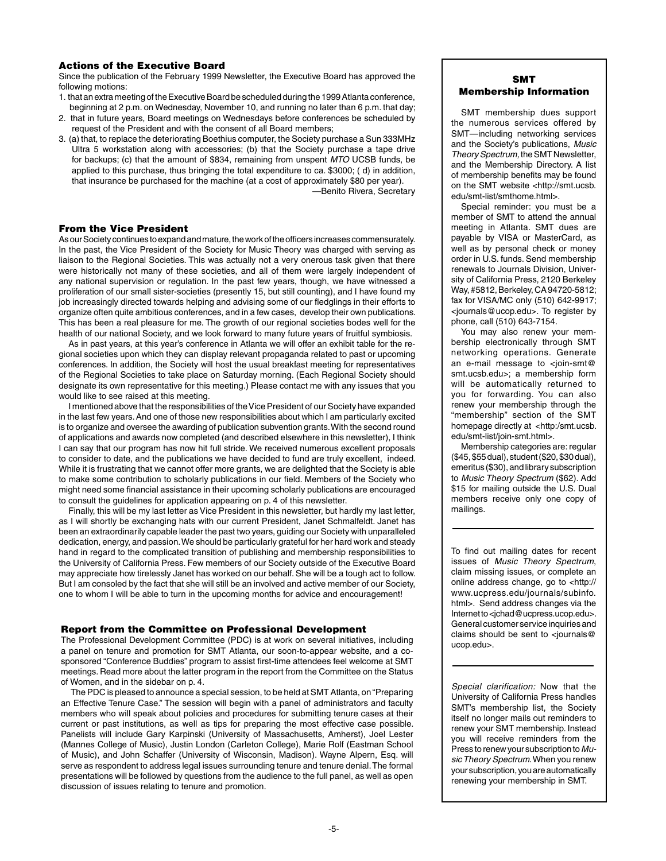## Actions of the Executive Board

Since the publication of the February 1999 Newsletter, the Executive Board has approved the following motions:

- 1. that an extra meeting of the Executive Board be scheduled during the 1999 Atlanta conference, beginning at 2 p.m. on Wednesday, November 10, and running no later than 6 p.m. that day;
- 2. that in future years, Board meetings on Wednesdays before conferences be scheduled by request of the President and with the consent of all Board members;
- 3. (a) that, to replace the deteriorating Boethius computer, the Society purchase a Sun 333MHz Ultra 5 workstation along with accessories; (b) that the Society purchase a tape drive for backups; (c) that the amount of \$834, remaining from unspent *MTO* UCSB funds, be applied to this purchase, thus bringing the total expenditure to ca. \$3000; ( d) in addition, that insurance be purchased for the machine (at a cost of approximately \$80 per year).

—Benito Rivera, Secretary

#### From the Vice President

As our Society continues to expand and mature, the work of the officers increases commensurately. In the past, the Vice President of the Society for Music Theory was charged with serving as liaison to the Regional Societies. This was actually not a very onerous task given that there were historically not many of these societies, and all of them were largely independent of any national supervision or regulation. In the past few years, though, we have witnessed a proliferation of our small sister-societies (presently 15, but still counting), and I have found my job increasingly directed towards helping and advising some of our fledglings in their efforts to organize often quite ambitious conferences, and in a few cases, develop their own publications. This has been a real pleasure for me. The growth of our regional societies bodes well for the health of our national Society, and we look forward to many future years of fruitful symbiosis.

As in past years, at this year's conference in Atlanta we will offer an exhibit table for the regional societies upon which they can display relevant propaganda related to past or upcoming conferences. In addition, the Society will host the usual breakfast meeting for representatives of the Regional Societies to take place on Saturday morning. (Each Regional Society should designate its own representative for this meeting.) Please contact me with any issues that you would like to see raised at this meeting.

I mentioned above that the responsibilities of the Vice President of our Society have expanded in the last few years. And one of those new responsibilities about which I am particularly excited is to organize and oversee the awarding of publication subvention grants. With the second round of applications and awards now completed (and described elsewhere in this newsletter), I think I can say that our program has now hit full stride. We received numerous excellent proposals to consider to date, and the publications we have decided to fund are truly excellent, indeed. While it is frustrating that we cannot offer more grants, we are delighted that the Society is able to make some contribution to scholarly publications in our field. Members of the Society who might need some financial assistance in their upcoming scholarly publications are encouraged to consult the guidelines for application appearing on p. 4 of this newsletter.

Finally, this will be my last letter as Vice President in this newsletter, but hardly my last letter, as I will shortly be exchanging hats with our current President, Janet Schmalfeldt. Janet has been an extraordinarily capable leader the past two years, guiding our Society with unparalleled dedication, energy, and passion. We should be particularly grateful for her hard work and steady hand in regard to the complicated transition of publishing and membership responsibilities to the University of California Press. Few members of our Society outside of the Executive Board may appreciate how tirelessly Janet has worked on our behalf. She will be a tough act to follow. But I am consoled by the fact that she will still be an involved and active member of our Society, one to whom I will be able to turn in the upcoming months for advice and encouragement!

## Report from the Committee on Professional Development

The Professional Development Committee (PDC) is at work on several initiatives, including a panel on tenure and promotion for SMT Atlanta, our soon-to-appear website, and a cosponsored "Conference Buddies" program to assist first-time attendees feel welcome at SMT meetings. Read more about the latter program in the report from the Committee on the Status of Women, and in the sidebar on p. 4.

The PDC is pleased to announce a special session, to be held at SMT Atlanta, on "Preparing an Effective Tenure Case." The session will begin with a panel of administrators and faculty members who will speak about policies and procedures for submitting tenure cases at their current or past institutions, as well as tips for preparing the most effective case possible. Panelists will include Gary Karpinski (University of Massachusetts, Amherst), Joel Lester (Mannes College of Music), Justin London (Carleton College), Marie Rolf (Eastman School of Music), and John Schaffer (University of Wisconsin, Madison). Wayne Alpern, Esq. will serve as respondent to address legal issues surrounding tenure and tenure denial. The formal presentations will be followed by questions from the audience to the full panel, as well as open discussion of issues relating to tenure and promotion.

# SMT Membership Information

SMT membership dues support the numerous services offered by SMT—including networking services and the Society's publications, *Music Theory Spectrum,* the SMT Newsletter, and the Membership Directory. A list of membership benefits may be found on the SMT website <http://smt.ucsb. edu/smt-list/smthome.html>.

Special reminder: you must be a member of SMT to attend the annual meeting in Atlanta. SMT dues are payable by VISA or MasterCard, as well as by personal check or money order in U.S. funds. Send membership renewals to Journals Division, University of California Press, 2120 Berkeley Way, #5812, Berkeley, CA 94720-5812; fax for VISA/MC only (510) 642-9917; <journals@ucop.edu>. To register by phone, call (510) 643-7154.

You may also renew your membership electronically through SMT networking operations. Generate an e-mail message to <join-smt@ smt.ucsb.edu>; a membership form will be automatically returned to you for forwarding. You can also renew your membership through the "membership" section of the SMT homepage directly at <http:/smt.ucsb. edu/smt-list/join-smt.html>.

Membership categories are: regular (\$45, \$55 dual), student (\$20, \$30 dual), emeritus (\$30), and library subscription to *Music Theory Spectrum* (\$62). Add \$15 for mailing outside the U.S. Dual members receive only one copy of mailings.

To find out mailing dates for recent issues of *Music Theory Spectrum*, claim missing issues, or complete an online address change, go to <http:// www.ucpress.edu/journals/subinfo. html>. Send address changes via the Internet to <jchad@ucpress.ucop.edu>. General customer service inquiries and claims should be sent to <journals@ ucop.edu>.

*Special clarification:* Now that the University of California Press handles SMT's membership list, the Society itself no longer mails out reminders to renew your SMT membership. Instead you will receive reminders from the Press to renew your subscription to *Music Theory Spectrum*. When you renew your subscription, you are automatically renewing your membership in SMT.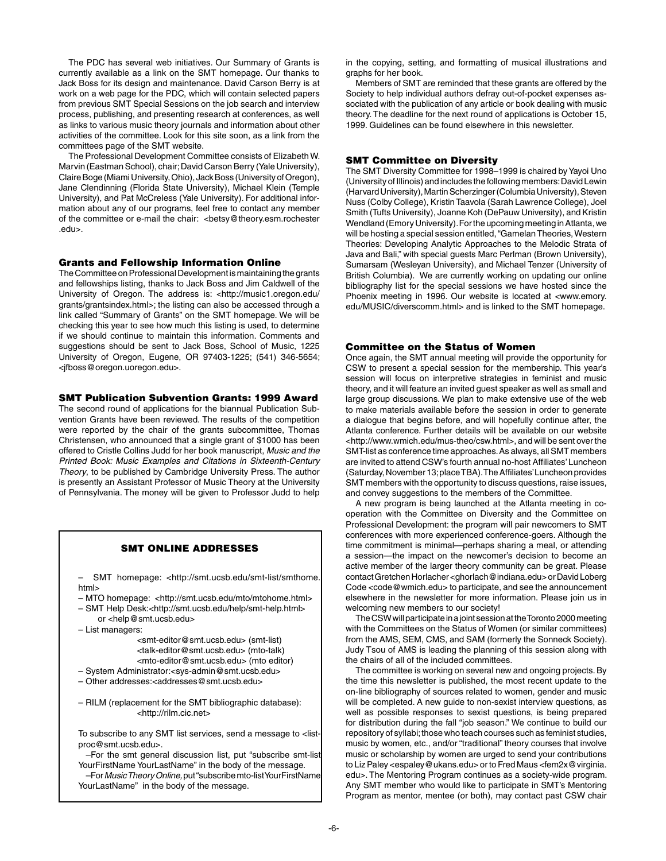The PDC has several web initiatives. Our Summary of Grants is currently available as a link on the SMT homepage. Our thanks to Jack Boss for its design and maintenance. David Carson Berry is at work on a web page for the PDC, which will contain selected papers from previous SMT Special Sessions on the job search and interview process, publishing, and presenting research at conferences, as well as links to various music theory journals and information about other activities of the committee. Look for this site soon, as a link from the committees page of the SMT website.

The Professional Development Committee consists of Elizabeth W. Marvin (Eastman School), chair; David Carson Berry (Yale University), Claire Boge (Miami University, Ohio), Jack Boss (University of Oregon), Jane Clendinning (Florida State University), Michael Klein (Temple University), and Pat McCreless (Yale University). For additional information about any of our programs, feel free to contact any member of the committee or e-mail the chair: <br/>betsy@theory.esm.rochester .edu>.

#### Grants and Fellowship Information Online

The Committee on Professional Development is maintaining the grants and fellowships listing, thanks to Jack Boss and Jim Caldwell of the University of Oregon. The address is: <http://music1.oregon.edu/ grants/grantsindex.html>; the listing can also be accessed through a link called "Summary of Grants" on the SMT homepage. We will be checking this year to see how much this listing is used, to determine if we should continue to maintain this information. Comments and suggestions should be sent to Jack Boss, School of Music, 1225 University of Oregon, Eugene, OR 97403-1225; (541) 346-5654; <jfboss@oregon.uoregon.edu>.

#### SMT Publication Subvention Grants: 1999 Award

The second round of applications for the biannual Publication Subvention Grants have been reviewed. The results of the competition were reported by the chair of the grants subcommittee, Thomas Christensen, who announced that a single grant of \$1000 has been offered to Cristle Collins Judd for her book manuscript, *Music and the Printed Book: Music Examples and Citations in Sixteenth-Century Theory*, to be published by Cambridge University Press. The author is presently an Assistant Professor of Music Theory at the University of Pennsylvania. The money will be given to Professor Judd to help

#### SMT Online Addresses

– SMT homepage: <http://smt.ucsb.edu/smt-list/smthome. html>

- MTO homepage: <http://smt.ucsb.edu/mto/mtohome.html>
- SMT Help Desk:<http://smt.ucsb.edu/help/smt-help.html> or <help@smt.ucsb.edu>
- List managers:

 <smt-editor@smt.ucsb.edu> (smt-list) <talk-editor@smt.ucsb.edu> (mto-talk) <mto-editor@smt.ucsb.edu> (mto editor)

- System Administrator:<sys-admin@smt.ucsb.edu>
- Other addresses:<addresses@smt.ucsb.edu>

– RILM (replacement for the SMT bibliographic database): <http://rilm.cic.net>

To subscribe to any SMT list services, send a message to <listproc@smt.ucsb.edu>.

–For the smt general discussion list, put "subscribe smt-list YourFirstName YourLastName" in the body of the message.

–For *Music Theory Online,* put "subscribe mto-list YourFirstName YourLastName" in the body of the message.

in the copying, setting, and formatting of musical illustrations and graphs for her book.

Members of SMT are reminded that these grants are offered by the Society to help individual authors defray out-of-pocket expenses associated with the publication of any article or book dealing with music theory. The deadline for the next round of applications is October 15, 1999. Guidelines can be found elsewhere in this newsletter.

## SMT Committee on Diversity

The SMT Diversity Committee for 1998–1999 is chaired by Yayoi Uno (University of Illinois) and includes the following members: David Lewin (Harvard University), Martin Scherzinger (Columbia University), Steven Nuss (Colby College), Kristin Taavola (Sarah Lawrence College), Joel Smith (Tufts University), Joanne Koh (DePauw University), and Kristin Wendland (Emory University). For the upcoming meeting in Atlanta, we will be hosting a special session entitled, "Gamelan Theories, Western Theories: Developing Analytic Approaches to the Melodic Strata of Java and Bali," with special guests Marc Perlman (Brown University), Sumarsam (Wesleyan University), and Michael Tenzer (University of British Columbia). We are currently working on updating our online bibliography list for the special sessions we have hosted since the Phoenix meeting in 1996. Our website is located at <www.emory. edu/MUSIC/diverscomm.html> and is linked to the SMT homepage.

#### Committee on the Status of Women

Once again, the SMT annual meeting will provide the opportunity for CSW to present a special session for the membership. This year's session will focus on interpretive strategies in feminist and music theory, and it will feature an invited guest speaker as well as small and large group discussions. We plan to make extensive use of the web to make materials available before the session in order to generate a dialogue that begins before, and will hopefully continue after, the Atlanta conference. Further details will be available on our website <http://www.wmich.edu/mus-theo/csw.html>, and will be sent over the SMT-list as conference time approaches. As always, all SMT members are invited to attend CSW's fourth annual no-host Affiliates' Luncheon (Saturday, November 13; place TBA). The Affiliates' Luncheon provides SMT members with the opportunity to discuss questions, raise issues, and convey suggestions to the members of the Committee.

A new program is being launched at the Atlanta meeting in cooperation with the Committee on Diversity and the Committee on Professional Development: the program will pair newcomers to SMT conferences with more experienced conference-goers. Although the time commitment is minimal—perhaps sharing a meal, or attending a session—the impact on the newcomer's decision to become an active member of the larger theory community can be great. Please contact Gretchen Horlacher <ghorlach@indiana.edu> or David Loberg Code <code@wmich.edu> to participate, and see the announcement elsewhere in the newsletter for more information. Please join us in welcoming new members to our society!

The CSW will participate in a joint session at the Toronto 2000 meeting with the Committees on the Status of Women (or similar committees) from the AMS, SEM, CMS, and SAM (formerly the Sonneck Society). Judy Tsou of AMS is leading the planning of this session along with the chairs of all of the included committees.

The committee is working on several new and ongoing projects. By the time this newsletter is published, the most recent update to the on-line bibliography of sources related to women, gender and music will be completed. A new guide to non-sexist interview questions, as well as possible responses to sexist questions, is being prepared for distribution during the fall "job season." We continue to build our repository of syllabi; those who teach courses such as feminist studies, music by women, etc., and/or "traditional" theory courses that involve music or scholarship by women are urged to send your contributions to Liz Paley <espaley@ukans.edu> or to Fred Maus <fem2x@virginia. edu>. The Mentoring Program continues as a society-wide program. Any SMT member who would like to participate in SMT's Mentoring Program as mentor, mentee (or both), may contact past CSW chair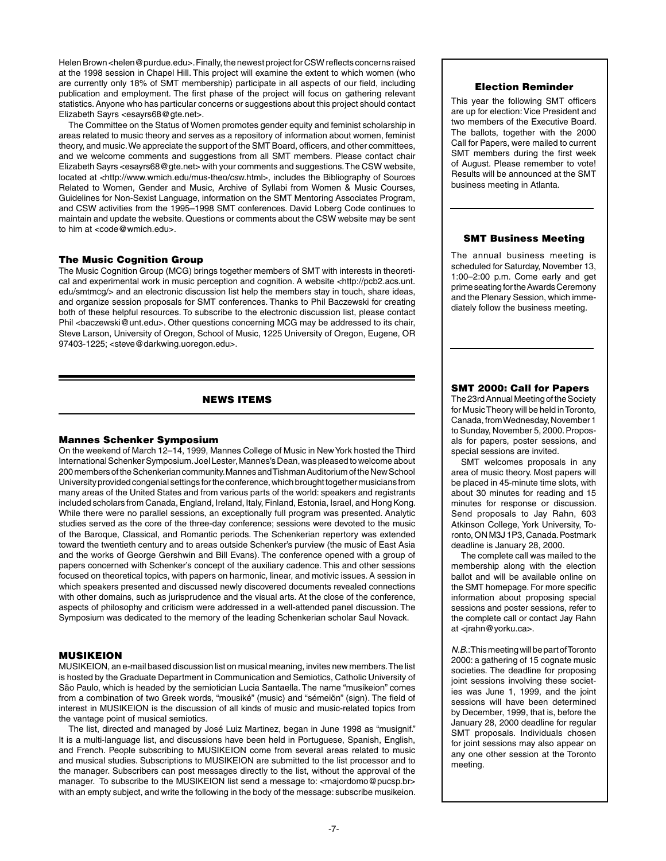Helen Brown <helen@purdue.edu>. Finally, the newest project for CSW reflects concerns raised at the 1998 session in Chapel Hill. This project will examine the extent to which women (who are currently only 18% of SMT membership) participate in all aspects of our field, including publication and employment. The first phase of the project will focus on gathering relevant statistics. Anyone who has particular concerns or suggestions about this project should contact Elizabeth Sayrs <esayrs68@gte.net>.

The Committee on the Status of Women promotes gender equity and feminist scholarship in areas related to music theory and serves as a repository of information about women, feminist theory, and music. We appreciate the support of the SMT Board, officers, and other committees, and we welcome comments and suggestions from all SMT members. Please contact chair Elizabeth Sayrs <esayrs68@gte.net> with your comments and suggestions. The CSW website, located at <http://www.wmich.edu/mus-theo/csw.html>, includes the Bibliography of Sources Related to Women, Gender and Music, Archive of Syllabi from Women & Music Courses, Guidelines for Non-Sexist Language, information on the SMT Mentoring Associates Program, and CSW activities from the 1995–1998 SMT conferences. David Loberg Code continues to maintain and update the website. Questions or comments about the CSW website may be sent to him at <code@wmich.edu>.

## The Music Cognition Group

The Music Cognition Group (MCG) brings together members of SMT with interests in theoretical and experimental work in music perception and cognition. A website <http://pcb2.acs.unt. edu/smtmcg/> and an electronic discussion list help the members stay in touch, share ideas, and organize session proposals for SMT conferences. Thanks to Phil Baczewski for creating both of these helpful resources. To subscribe to the electronic discussion list, please contact Phil <br/>baczewski@unt.edu>. Other questions concerning MCG may be addressed to its chair, Steve Larson, University of Oregon, School of Music, 1225 University of Oregon, Eugene, OR 97403-1225; <steve@darkwing.uoregon.edu>.

## news items

#### Mannes Schenker Symposium

On the weekend of March 12–14, 1999, Mannes College of Music in New York hosted the Third International Schenker Symposium. Joel Lester, Mannes's Dean, was pleased to welcome about 200 members of the Schenkerian community. Mannes and Tishman Auditorium of the New School University provided congenial settings for the conference, which brought together musicians from many areas of the United States and from various parts of the world: speakers and registrants included scholars from Canada, England, Ireland, Italy, Finland, Estonia, Israel, and Hong Kong. While there were no parallel sessions, an exceptionally full program was presented. Analytic studies served as the core of the three-day conference; sessions were devoted to the music of the Baroque, Classical, and Romantic periods. The Schenkerian repertory was extended toward the twentieth century and to areas outside Schenker's purview (the music of East Asia and the works of George Gershwin and Bill Evans). The conference opened with a group of papers concerned with Schenker's concept of the auxiliary cadence. This and other sessions focused on theoretical topics, with papers on harmonic, linear, and motivic issues. A session in which speakers presented and discussed newly discovered documents revealed connections with other domains, such as jurisprudence and the visual arts. At the close of the conference, aspects of philosophy and criticism were addressed in a well-attended panel discussion. The Symposium was dedicated to the memory of the leading Schenkerian scholar Saul Novack.

## MUSIKEION

MUSIKEION, an e-mail based discussion list on musical meaning, invites new members. The list is hosted by the Graduate Department in Communication and Semiotics, Catholic University of São Paulo, which is headed by the semiotician Lucia Santaella. The name "musikeion" comes from a combination of two Greek words, "mousiké" (music) and "sémeiön" (sign). The field of interest in MUSIKEION is the discussion of all kinds of music and music-related topics from the vantage point of musical semiotics.

The list, directed and managed by José Luiz Martinez, began in June 1998 as "musignif." It is a multi-language list, and discussions have been held in Portuguese, Spanish, English, and French. People subscribing to MUSIKEION come from several areas related to music and musical studies. Subscriptions to MUSIKEION are submitted to the list processor and to the manager. Subscribers can post messages directly to the list, without the approval of the manager. To subscribe to the MUSIKEION list send a message to: <majordomo@pucsp.br> with an empty subject, and write the following in the body of the message: subscribe musikeion.

## Election Reminder

This year the following SMT officers are up for election: Vice President and two members of the Executive Board. The ballots, together with the 2000 Call for Papers, were mailed to current SMT members during the first week of August. Please remember to vote! Results will be announced at the SMT business meeting in Atlanta.

#### SMT Business Meeting

The annual business meeting is scheduled for Saturday, November 13, 1:00–2:00 p.m. Come early and get prime seating for the Awards Ceremony and the Plenary Session, which immediately follow the business meeting.

# SMT 2000: Call for Papers

The 23rd Annual Meeting of the Society for Music Theory will be held in Toronto, Canada, from Wednesday, November 1 to Sunday, November 5, 2000. Proposals for papers, poster sessions, and special sessions are invited.

SMT welcomes proposals in any area of music theory. Most papers will be placed in 45-minute time slots, with about 30 minutes for reading and 15 minutes for response or discussion. Send proposals to Jay Rahn, 603 Atkinson College, York University, Toronto, ON M3J 1P3, Canada. Postmark deadline is January 28, 2000.

The complete call was mailed to the membership along with the election ballot and will be available online on the SMT homepage. For more specific information about proposing special sessions and poster sessions, refer to the complete call or contact Jay Rahn at <jrahn@yorku.ca>.

*N.B*.: This meeting will be part of Toronto 2000: a gathering of 15 cognate music societies. The deadline for proposing joint sessions involving these societies was June 1, 1999, and the joint sessions will have been determined by December, 1999, that is, before the January 28, 2000 deadline for regular SMT proposals. Individuals chosen for joint sessions may also appear on any one other session at the Toronto meeting.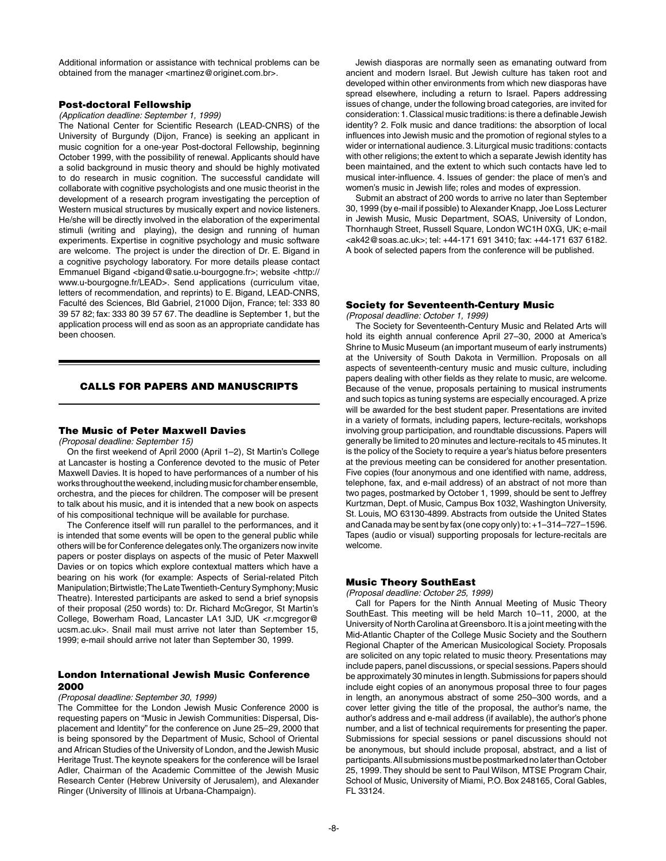Additional information or assistance with technical problems can be obtained from the manager <martinez@originet.com.br>.

#### Post-doctoral Fellowship

*(Application deadline: September 1, 1999)*

The National Center for Scientific Research (LEAD-CNRS) of the University of Burgundy (Dijon, France) is seeking an applicant in music cognition for a one-year Post-doctoral Fellowship, beginning October 1999, with the possibility of renewal. Applicants should have a solid background in music theory and should be highly motivated to do research in music cognition. The successful candidate will collaborate with cognitive psychologists and one music theorist in the development of a research program investigating the perception of Western musical structures by musically expert and novice listeners. He/she will be directly involved in the elaboration of the experimental stimuli (writing and playing), the design and running of human experiments. Expertise in cognitive psychology and music software are welcome. The project is under the direction of Dr. E. Bigand in a cognitive psychology laboratory. For more details please contact Emmanuel Bigand <bigand@satie.u-bourgogne.fr>; website <http:// www.u-bourgogne.fr/LEAD>. Send applications (curriculum vitae, letters of recommendation, and reprints) to E. Bigand, LEAD-CNRS, Faculté des Sciences, Bld Gabriel, 21000 Dijon, France; tel: 333 80 39 57 82; fax: 333 80 39 57 67. The deadline is September 1, but the application process will end as soon as an appropriate candidate has been choosen.

## Calls for Papers and Manuscripts

#### The Music of Peter Maxwell Davies

*(Proposal deadline: September 15)*

On the first weekend of April 2000 (April 1–2), St Martin's College at Lancaster is hosting a Conference devoted to the music of Peter Maxwell Davies. It is hoped to have performances of a number of his works throughout the weekend, including music for chamber ensemble, orchestra, and the pieces for children. The composer will be present to talk about his music, and it is intended that a new book on aspects of his compositional technique will be available for purchase.

The Conference itself will run parallel to the performances, and it is intended that some events will be open to the general public while others will be for Conference delegates only. The organizers now invite papers or poster displays on aspects of the music of Peter Maxwell Davies or on topics which explore contextual matters which have a bearing on his work (for example: Aspects of Serial-related Pitch Manipulation; Birtwistle; The Late Twentieth-Century Symphony; Music Theatre). Interested participants are asked to send a brief synopsis of their proposal (250 words) to: Dr. Richard McGregor, St Martin's College, Bowerham Road, Lancaster LA1 3JD, UK <r.mcgregor@ ucsm.ac.uk>. Snail mail must arrive not later than September 15, 1999; e-mail should arrive not later than September 30, 1999.

## London International Jewish Music Conference 2000

#### *(Proposal deadline: September 30, 1999)*

The Committee for the London Jewish Music Conference 2000 is requesting papers on "Music in Jewish Communities: Dispersal, Displacement and Identity" for the conference on June 25–29, 2000 that is being sponsored by the Department of Music, School of Oriental and African Studies of the University of London, and the Jewish Music Heritage Trust. The keynote speakers for the conference will be Israel Adler, Chairman of the Academic Committee of the Jewish Music Research Center (Hebrew University of Jerusalem), and Alexander Ringer (University of Illinois at Urbana-Champaign).

Jewish diasporas are normally seen as emanating outward from ancient and modern Israel. But Jewish culture has taken root and developed within other environments from which new diasporas have spread elsewhere, including a return to Israel. Papers addressing issues of change, under the following broad categories, are invited for consideration: 1. Classical music traditions: is there a definable Jewish identity? 2. Folk music and dance traditions: the absorption of local influences into Jewish music and the promotion of regional styles to a wider or international audience. 3. Liturgical music traditions: contacts with other religions; the extent to which a separate Jewish identity has been maintained, and the extent to which such contacts have led to musical inter-influence. 4. Issues of gender: the place of men's and women's music in Jewish life; roles and modes of expression.

Submit an abstract of 200 words to arrive no later than September 30, 1999 (by e-mail if possible) to Alexander Knapp, Joe Loss Lecturer in Jewish Music, Music Department, SOAS, University of London, Thornhaugh Street, Russell Square, London WC1H 0XG, UK; e-mail <ak42@soas.ac.uk>; tel: +44-171 691 3410; fax: +44-171 637 6182. A book of selected papers from the conference will be published.

#### Society for Seventeenth-Century Music

*(Proposal deadline: October 1, 1999)*

The Society for Seventeenth-Century Music and Related Arts will hold its eighth annual conference April 27–30, 2000 at America's Shrine to Music Museum (an important museum of early instruments) at the University of South Dakota in Vermillion. Proposals on all aspects of seventeenth-century music and music culture, including papers dealing with other fields as they relate to music, are welcome. Because of the venue, proposals pertaining to musical instruments and such topics as tuning systems are especially encouraged. A prize will be awarded for the best student paper. Presentations are invited in a variety of formats, including papers, lecture-recitals, workshops involving group participation, and roundtable discussions. Papers will generally be limited to 20 minutes and lecture-recitals to 45 minutes. It is the policy of the Society to require a year's hiatus before presenters at the previous meeting can be considered for another presentation. Five copies (four anonymous and one identified with name, address, telephone, fax, and e-mail address) of an abstract of not more than two pages, postmarked by October 1, 1999, should be sent to Jeffrey Kurtzman, Dept. of Music, Campus Box 1032, Washington University, St. Louis, MO 63130-4899. Abstracts from outside the United States and Canada may be sent by fax (one copy only) to: +1–314–727–1596. Tapes (audio or visual) supporting proposals for lecture-recitals are welcome.

#### Music Theory SouthEast

*(Proposal deadline: October 25, 1999)*

Call for Papers for the Ninth Annual Meeting of Music Theory SouthEast. This meeting will be held March 10–11, 2000, at the University of North Carolina at Greensboro. It is a joint meeting with the Mid-Atlantic Chapter of the College Music Society and the Southern Regional Chapter of the American Musicological Society. Proposals are solicited on any topic related to music theory. Presentations may include papers, panel discussions, or special sessions. Papers should be approximately 30 minutes in length. Submissions for papers should include eight copies of an anonymous proposal three to four pages in length, an anonymous abstract of some 250–300 words, and a cover letter giving the title of the proposal, the author's name, the author's address and e-mail address (if available), the author's phone number, and a list of technical requirements for presenting the paper. Submissions for special sessions or panel discussions should not be anonymous, but should include proposal, abstract, and a list of participants. All submissions must be postmarked no later than October 25, 1999. They should be sent to Paul Wilson, MTSE Program Chair, School of Music, University of Miami, P.O. Box 248165, Coral Gables, FL 33124.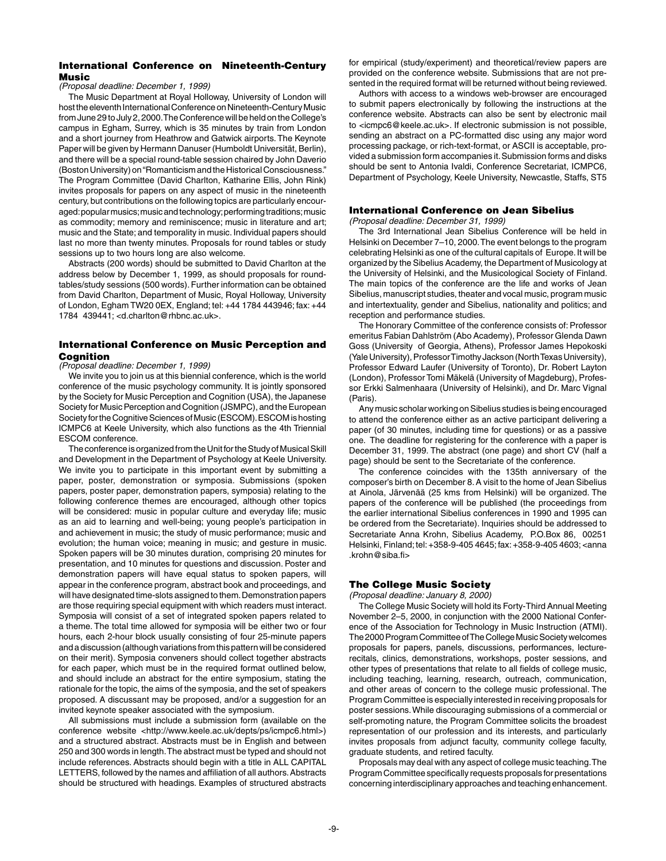## International Conference on Nineteenth-Century Music

#### *(Proposal deadline: December 1, 1999)*

The Music Department at Royal Holloway, University of London will host the eleventh International Conference on Nineteenth-Century Music from June 29 to July 2, 2000. The Conference will be held on the College's campus in Egham, Surrey, which is 35 minutes by train from London and a short journey from Heathrow and Gatwick airports. The Keynote Paper will be given by Hermann Danuser (Humboldt Universität, Berlin), and there will be a special round-table session chaired by John Daverio (Boston University) on "Romanticism and the Historical Consciousness." The Program Committee (David Charlton, Katharine Ellis, John Rink) invites proposals for papers on any aspect of music in the nineteenth century, but contributions on the following topics are particularly encouraged: popular musics; music and technology; performing traditions; music as commodity; memory and reminiscence; music in literature and art; music and the State; and temporality in music. Individual papers should last no more than twenty minutes. Proposals for round tables or study sessions up to two hours long are also welcome.

Abstracts (200 words) should be submitted to David Charlton at the address below by December 1, 1999, as should proposals for roundtables/study sessions (500 words). Further information can be obtained from David Charlton, Department of Music, Royal Holloway, University of London, Egham TW20 0EX, England; tel: +44 1784 443946; fax: +44 1784 439441; <d.charlton@rhbnc.ac.uk>.

#### International Conference on Music Perception and **Cognition**

#### *(Proposal deadline: December 1, 1999)*

We invite you to join us at this biennial conference, which is the world conference of the music psychology community. It is jointly sponsored by the Society for Music Perception and Cognition (USA), the Japanese Society for Music Perception and Cognition (JSMPC), and the European Society for the Cognitive Sciences of Music (ESCOM). ESCOM is hosting ICMPC6 at Keele University, which also functions as the 4th Triennial ESCOM conference.

The conference is organized from the Unit for the Study of Musical Skill and Development in the Department of Psychology at Keele University. We invite you to participate in this important event by submitting a paper, poster, demonstration or symposia. Submissions (spoken papers, poster paper, demonstration papers, symposia) relating to the following conference themes are encouraged, although other topics will be considered: music in popular culture and everyday life; music as an aid to learning and well-being; young people's participation in and achievement in music; the study of music performance; music and evolution; the human voice; meaning in music; and gesture in music. Spoken papers will be 30 minutes duration, comprising 20 minutes for presentation, and 10 minutes for questions and discussion. Poster and demonstration papers will have equal status to spoken papers, will appear in the conference program, abstract book and proceedings, and will have designated time-slots assigned to them. Demonstration papers are those requiring special equipment with which readers must interact. Symposia will consist of a set of integrated spoken papers related to a theme. The total time allowed for symposia will be either two or four hours, each 2-hour block usually consisting of four 25-minute papers and a discussion (although variations from this pattern will be considered on their merit). Symposia conveners should collect together abstracts for each paper, which must be in the required format outlined below, and should include an abstract for the entire symposium, stating the rationale for the topic, the aims of the symposia, and the set of speakers proposed. A discussant may be proposed, and/or a suggestion for an invited keynote speaker associated with the symposium.

All submissions must include a submission form (available on the conference website <http://www.keele.ac.uk/depts/ps/icmpc6.html>) and a structured abstract. Abstracts must be in English and between 250 and 300 words in length. The abstract must be typed and should not include references. Abstracts should begin with a title in ALL CAPITAL LETTERS, followed by the names and affiliation of all authors. Abstracts should be structured with headings. Examples of structured abstracts for empirical (study/experiment) and theoretical/review papers are provided on the conference website. Submissions that are not presented in the required format will be returned without being reviewed.

Authors with access to a windows web-browser are encouraged to submit papers electronically by following the instructions at the conference website. Abstracts can also be sent by electronic mail to <icmpc6@keele.ac.uk>. If electronic submission is not possible, sending an abstract on a PC-formatted disc using any major word processing package, or rich-text-format, or ASCII is acceptable, provided a submission form accompanies it. Submission forms and disks should be sent to Antonia Ivaldi, Conference Secretariat, ICMPC6, Department of Psychology, Keele University, Newcastle, Staffs, ST5

## International Conference on Jean Sibelius

*(Proposal deadline: December 31, 1999)*

The 3rd International Jean Sibelius Conference will be held in Helsinki on December 7–10, 2000. The event belongs to the program celebrating Helsinki as one of the cultural capitals of Europe. It will be organized by the Sibelius Academy, the Department of Musicology at the University of Helsinki, and the Musicological Society of Finland. The main topics of the conference are the life and works of Jean Sibelius, manuscript studies, theater and vocal music, program music and intertextuality, gender and Sibelius, nationality and politics; and reception and performance studies.

The Honorary Committee of the conference consists of: Professor emeritus Fabian Dahlström (Abo Academy), Professor Glenda Dawn Goss (University of Georgia, Athens), Professor James Hepokoski (Yale University), Professor Timothy Jackson (North Texas University), Professor Edward Laufer (University of Toronto), Dr. Robert Layton (London), Professor Tomi Mäkelä (University of Magdeburg), Professor Erkki Salmenhaara (University of Helsinki), and Dr. Marc Vignal (Paris).

Any music scholar working on Sibelius studies is being encouraged to attend the conference either as an active participant delivering a paper (of 30 minutes, including time for questions) or as a passive one. The deadline for registering for the conference with a paper is December 31, 1999. The abstract (one page) and short CV (half a page) should be sent to the Secretariate of the conference.

The conference coincides with the 135th anniversary of the composer's birth on December 8. A visit to the home of Jean Sibelius at Ainola, Järvenää (25 kms from Helsinki) will be organized. The papers of the conference will be published (the proceedings from the earlier international Sibelius conferences in 1990 and 1995 can be ordered from the Secretariate). Inquiries should be addressed to Secretariate Anna Krohn, Sibelius Academy, P.O.Box 86, 00251 Helsinki, Finland; tel: +358-9-405 4645; fax: +358-9-405 4603; <anna .krohn@siba.fi>

#### The College Music Society

*(Proposal deadline: January 8, 2000)*

The College Music Society will hold its Forty-Third Annual Meeting November 2–5, 2000, in conjunction with the 2000 National Conference of the Association for Technology in Music Instruction (ATMI). The 2000 Program Committee of The College Music Society welcomes proposals for papers, panels, discussions, performances, lecturerecitals, clinics, demonstrations, workshops, poster sessions, and other types of presentations that relate to all fields of college music, including teaching, learning, research, outreach, communication, and other areas of concern to the college music professional. The Program Committee is especially interested in receiving proposals for poster sessions. While discouraging submissions of a commercial or self-promoting nature, the Program Committee solicits the broadest representation of our profession and its interests, and particularly invites proposals from adjunct faculty, community college faculty, graduate students, and retired faculty.

Proposals may deal with any aspect of college music teaching. The Program Committee specifically requests proposals for presentations concerning interdisciplinary approaches and teaching enhancement.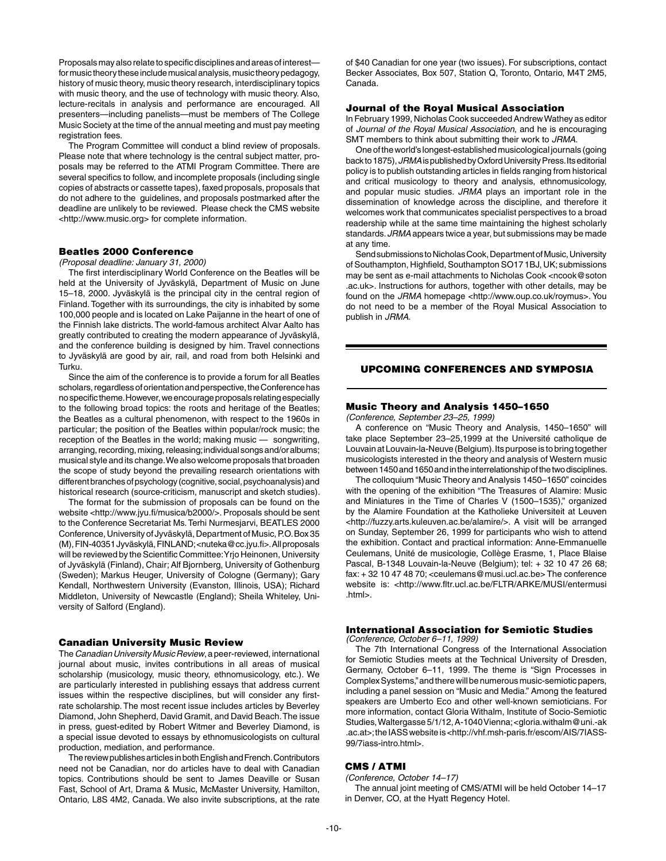Proposals may also relate to specific disciplines and areas of interest for music theory these include musical analysis, music theory pedagogy, history of music theory, music theory research, interdisciplinary topics with music theory, and the use of technology with music theory. Also, lecture-recitals in analysis and performance are encouraged. All presenters—including panelists—must be members of The College Music Society at the time of the annual meeting and must pay meeting registration fees.

The Program Committee will conduct a blind review of proposals. Please note that where technology is the central subject matter, proposals may be referred to the ATMI Program Committee. There are several specifics to follow, and incomplete proposals (including single copies of abstracts or cassette tapes), faxed proposals, proposals that do not adhere to the guidelines, and proposals postmarked after the deadline are unlikely to be reviewed. Please check the CMS website <http://www.music.org> for complete information.

#### Beatles 2000 Conference

*(Proposal deadline: January 31, 2000)*

The first interdisciplinary World Conference on the Beatles will be held at the University of Jyväskylä, Department of Music on June 15–18, 2000. Jyväskylä is the principal city in the central region of Finland. Together with its surroundings, the city is inhabited by some 100,000 people and is located on Lake Paijanne in the heart of one of the Finnish lake districts. The world-famous architect Alvar Aalto has greatly contributed to creating the modern appearance of Jyväskylä, and the conference building is designed by him. Travel connections to Jyväskylä are good by air, rail, and road from both Helsinki and Turku.

Since the aim of the conference is to provide a forum for all Beatles scholars, regardless of orientation and perspective, the Conference has no specific theme. However, we encourage proposals relating especially to the following broad topics: the roots and heritage of the Beatles; the Beatles as a cultural phenomenon, with respect to the 1960s in particular; the position of the Beatles within popular/rock music; the reception of the Beatles in the world; making music — songwriting, arranging, recording, mixing, releasing; individual songs and/or albums; musical style and its change. We also welcome proposals that broaden the scope of study beyond the prevailing research orientations with different branches of psychology (cognitive, social, psychoanalysis) and historical research (source-criticism, manuscript and sketch studies).

The format for the submission of proposals can be found on the website <http://www.jyu.fi/musica/b2000/>. Proposals should be sent to the Conference Secretariat Ms. Terhi Nurmesjarvi, BEATLES 2000 Conference, University of Jyväskylä, Department of Music, P.O. Box 35 (M), FIN-40351 Jyväskylä, FINLAND; <nuteka@cc.jyu.fi>. All proposals will be reviewed by the Scientific Committee: Yrio Heinonen, University of Jyväskylä (Finland), Chair; Alf Bjornberg, University of Gothenburg (Sweden); Markus Heuger, University of Cologne (Germany); Gary Kendall, Northwestern University (Evanston, Illinois, USA); Richard Middleton, University of Newcastle (England); Sheila Whiteley, University of Salford (England).

#### Canadian University Music Review

The *Canadian University Music Review*, a peer-reviewed, international journal about music, invites contributions in all areas of musical scholarship (musicology, music theory, ethnomusicology, etc.). We are particularly interested in publishing essays that address current issues within the respective disciplines, but will consider any firstrate scholarship. The most recent issue includes articles by Beverley Diamond, John Shepherd, David Gramit, and David Beach. The issue in press, guest-edited by Robert Witmer and Beverley Diamond, is a special issue devoted to essays by ethnomusicologists on cultural production, mediation, and performance.

The review publishes articles in both English and French. Contributors need not be Canadian, nor do articles have to deal with Canadian topics. Contributions should be sent to James Deaville or Susan Fast, School of Art, Drama & Music, McMaster University, Hamilton, Ontario, L8S 4M2, Canada. We also invite subscriptions, at the rate

of \$40 Canadian for one year (two issues). For subscriptions, contact Becker Associates, Box 507, Station Q, Toronto, Ontario, M4T 2M5, Canada.

#### Journal of the Royal Musical Association

In February 1999, Nicholas Cook succeeded Andrew Wathey as editor of *Journal of the Royal Musical Association*, and he is encouraging SMT members to think about submitting their work to *JRMA*.

One of the world's longest-established musicological journals (going back to 1875), *JRMA* is published by Oxford University Press. Its editorial policy is to publish outstanding articles in fields ranging from historical and critical musicology to theory and analysis, ethnomusicology, and popular music studies. *JRMA* plays an important role in the dissemination of knowledge across the discipline, and therefore it welcomes work that communicates specialist perspectives to a broad readership while at the same time maintaining the highest scholarly standards. *JRMA* appears twice a year, but submissions may be made at any time.

Send submissions to Nicholas Cook, Department of Music, University of Southampton, Highfield, Southampton SO17 1BJ, UK; submissions may be sent as e-mail attachments to Nicholas Cook <ncook@soton .ac.uk>. Instructions for authors, together with other details, may be found on the *JRMA* homepage <http://www.oup.co.uk/roymus>. You do not need to be a member of the Royal Musical Association to publish in *JRMA*.

## UPCOMING CONFERENCES AND SYMPOSIA

#### Music Theory and Analysis 1450–1650

*(Conference, September 23–25, 1999)*

A conference on "Music Theory and Analysis, 1450–1650" will take place September 23–25,1999 at the Université catholique de Louvain at Louvain-la-Neuve (Belgium). Its purpose is to bring together musicologists interested in the theory and analysis of Western music between 1450 and 1650 and in the interrelationship of the two disciplines.

The colloquium "Music Theory and Analysis 1450–1650" coincides with the opening of the exhibition "The Treasures of Alamire: Music and Miniatures in the Time of Charles V (1500–1535)," organized by the Alamire Foundation at the Katholieke Universiteit at Leuven <http://fuzzy.arts.kuleuven.ac.be/alamire/>. A visit will be arranged on Sunday, September 26, 1999 for participants who wish to attend the exhibition. Contact and practical information: Anne-Emmanuelle Ceulemans, Unité de musicologie, Collège Erasme, 1, Place Blaise Pascal, B-1348 Louvain-la-Neuve (Belgium); tel: + 32 10 47 26 68; fax: + 32 10 47 48 70; <ceulemans@musi.ucl.ac.be> The conference website is: <http://www.fltr.ucl.ac.be/FLTR/ARKE/MUSI/entermusi .html>.

# International Association for Semiotic Studies

*(Conference, October 6–11, 1999)*

The 7th International Congress of the International Association for Semiotic Studies meets at the Technical University of Dresden, Germany, October 6–11, 1999. The theme is "Sign Processes in Complex Systems," and there will be numerous music-semiotic papers, including a panel session on "Music and Media." Among the featured speakers are Umberto Eco and other well-known semioticians. For more information, contact Gloria Withalm, Institute of Socio-Semiotic Studies, Waltergasse 5/1/12, A-1040 Vienna; <gloria.withalm@uni.-ak .ac.at>; the IASS website is <http://vhf.msh-paris.fr/escom/AIS/7IASS-99/7iass-intro.html>.

# CMS / ATMI

*(Conference, October 14–17)*

The annual joint meeting of CMS/ATMI will be held October 14–17 in Denver, CO, at the Hyatt Regency Hotel.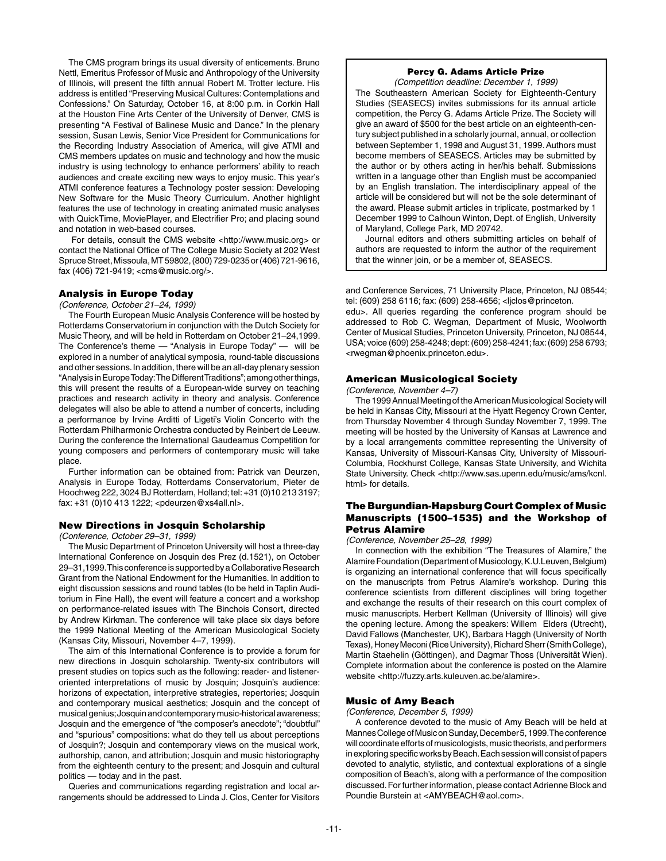The CMS program brings its usual diversity of enticements. Bruno Nettl, Emeritus Professor of Music and Anthropology of the University of Illinois, will present the fifth annual Robert M. Trotter lecture. His address is entitled "Preserving Musical Cultures: Contemplations and Confessions." On Saturday, October 16, at 8:00 p.m. in Corkin Hall at the Houston Fine Arts Center of the University of Denver, CMS is presenting "A Festival of Balinese Music and Dance." In the plenary session, Susan Lewis, Senior Vice President for Communications for the Recording Industry Association of America, will give ATMI and CMS members updates on music and technology and how the music industry is using technology to enhance performers' ability to reach audiences and create exciting new ways to enjoy music. This year's ATMI conference features a Technology poster session: Developing New Software for the Music Theory Curriculum. Another highlight features the use of technology in creating animated music analyses with QuickTime, MoviePlayer, and Electrifier Pro; and placing sound and notation in web-based courses.

 For details, consult the CMS website <http://www.music.org> or contact the National Office of The College Music Society at 202 West Spruce Street, Missoula, MT 59802, (800) 729-0235 or (406) 721-9616, fax (406) 721-9419; <cms@music.org/>.

## Analysis in Europe Today

*(Conference, October 21–24, 1999)*

The Fourth European Music Analysis Conference will be hosted by Rotterdams Conservatorium in conjunction with the Dutch Society for Music Theory, and will be held in Rotterdam on October 21–24,1999. The Conference's theme — "Analysis in Europe Today" — will be explored in a number of analytical symposia, round-table discussions and other sessions. In addition, there will be an all-day plenary session "Analysis in Europe Today: The Different Traditions"; among other things, this will present the results of a European-wide survey on teaching practices and research activity in theory and analysis. Conference delegates will also be able to attend a number of concerts, including a performance by Irvine Arditti of Ligeti's Violin Concerto with the Rotterdam Philharmonic Orchestra conducted by Reinbert de Leeuw. During the conference the International Gaudeamus Competition for young composers and performers of contemporary music will take place.

Further information can be obtained from: Patrick van Deurzen, Analysis in Europe Today, Rotterdams Conservatorium, Pieter de Hoochweg 222, 3024 BJ Rotterdam, Holland; tel: +31 (0)10 213 3197; fax: +31 (0)10 413 1222; <pdeurzen@xs4all.nl>.

#### New Directions in Josquin Scholarship

*(Conference, October 29–31, 1999)*

The Music Department of Princeton University will host a three-day International Conference on Josquin des Prez (d.1521), on October 29–31,1999. This conference is supported by a Collaborative Research Grant from the National Endowment for the Humanities. In addition to eight discussion sessions and round tables (to be held in Taplin Auditorium in Fine Hall), the event will feature a concert and a workshop on performance-related issues with The Binchois Consort, directed by Andrew Kirkman. The conference will take place six days before the 1999 National Meeting of the American Musicological Society (Kansas City, Missouri, November 4–7, 1999).

The aim of this International Conference is to provide a forum for new directions in Josquin scholarship. Twenty-six contributors will present studies on topics such as the following: reader- and listeneroriented interpretations of music by Josquin; Josquin's audience: horizons of expectation, interpretive strategies, repertories; Josquin and contemporary musical aesthetics; Josquin and the concept of musical genius; Josquin and contemporary music-historical awareness; Josquin and the emergence of "the composer's anecdote"; "doubtful" and "spurious" compositions: what do they tell us about perceptions of Josquin?; Josquin and contemporary views on the musical work, authorship, canon, and attribution; Josquin and music historiography from the eighteenth century to the present; and Josquin and cultural politics — today and in the past.

Queries and communications regarding registration and local arrangements should be addressed to Linda J. Clos, Center for Visitors

# Percy G. Adams Article Prize

*(Competition deadline: December 1, 1999)* The Southeastern American Society for Eighteenth-Century Studies (SEASECS) invites submissions for its annual article competition, the Percy G. Adams Article Prize. The Society will give an award of \$500 for the best article on an eighteenth-century subject published in a scholarly journal, annual, or collection between September 1, 1998 and August 31, 1999. Authors must become members of SEASECS. Articles may be submitted by the author or by others acting in her/his behalf. Submissions written in a language other than English must be accompanied by an English translation. The interdisciplinary appeal of the article will be considered but will not be the sole determinant of the award. Please submit articles in triplicate, postmarked by 1 December 1999 to Calhoun Winton, Dept. of English, University of Maryland, College Park, MD 20742.

Journal editors and others submitting articles on behalf of authors are requested to inform the author of the requirement that the winner join, or be a member of, SEASECS.

and Conference Services, 71 University Place, Princeton, NJ 08544; tel: (609) 258 6116; fax: (609) 258-4656; <ljclos@princeton.

edu>. All queries regarding the conference program should be addressed to Rob C. Wegman, Department of Music, Woolworth Center of Musical Studies, Princeton University, Princeton, NJ 08544, USA; voice (609) 258-4248; dept: (609) 258-4241; fax: (609) 258 6793; <rwegman@phoenix.princeton.edu>.

#### American Musicological Society

*(Conference, November 4–7)*

The 1999 Annual Meeting of the American Musicological Society will be held in Kansas City, Missouri at the Hyatt Regency Crown Center, from Thursday November 4 through Sunday November 7, 1999. The meeting will be hosted by the University of Kansas at Lawrence and by a local arrangements committee representing the University of Kansas, University of Missouri-Kansas City, University of Missouri-Columbia, Rockhurst College, Kansas State University, and Wichita State University. Check <http://www.sas.upenn.edu/music/ams/kcnl. html> for details.

## The Burgundian-Hapsburg Court Complex of Music Manuscripts (1500–1535) and the Workshop of Petrus Alamire

*(Conference, November 25–28, 1999)*

In connection with the exhibition "The Treasures of Alamire," the Alamire Foundation (Department of Musicology, K.U.Leuven, Belgium) is organizing an international conference that will focus specifically on the manuscripts from Petrus Alamire's workshop. During this conference scientists from different disciplines will bring together and exchange the results of their research on this court complex of music manuscripts. Herbert Kellman (University of Illinois) will give the opening lecture. Among the speakers: Willem Elders (Utrecht), David Fallows (Manchester, UK), Barbara Haggh (University of North Texas), Honey Meconi (Rice University), Richard Sherr (Smith College), Martin Staehelin (Göttingen), and Dagmar Thoss (Universität Wien). Complete information about the conference is posted on the Alamire website <http://fuzzy.arts.kuleuven.ac.be/alamire>.

#### Music of Amy Beach

*(Conference, December 5, 1999)*

A conference devoted to the music of Amy Beach will be held at Mannes College of Music on Sunday, December 5, 1999. The conference will coordinate efforts of musicologists, music theorists, and performers in exploring specific works by Beach. Each session will consist of papers devoted to analytic, stylistic, and contextual explorations of a single composition of Beach's, along with a performance of the composition discussed. For further information, please contact Adrienne Block and Poundie Burstein at <AMYBEACH@aol.com>.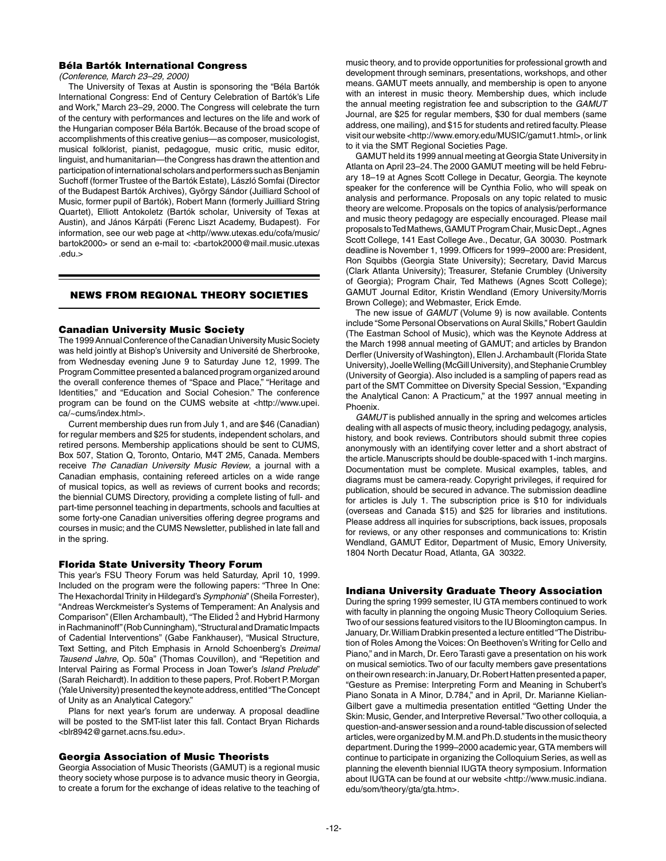## Béla Bartók International Congress

*(Conference, March 23–29, 2000)*

The University of Texas at Austin is sponsoring the "Béla Bartók International Congress: End of Century Celebration of Bartók's Life and Work," March 23–29, 2000. The Congress will celebrate the turn of the century with performances and lectures on the life and work of the Hungarian composer Béla Bartók. Because of the broad scope of accomplishments of this creative genius—as composer, musicologist, musical folklorist, pianist, pedagogue, music critic, music editor, linguist, and humanitarian—the Congress has drawn the attention and participation of international scholars and performers such as Benjamin Suchoff (former Trustee of the Bartók Estate), László Somfai (Director of the Budapest Bartók Archives), György Sándor (Juilliard School of Music, former pupil of Bartók), Robert Mann (formerly Juilliard String Quartet), Elliott Antokoletz (Bartók scholar, University of Texas at Austin), and János Kárpáti (Ferenc Liszt Academy, Budapest). For information, see our web page at <http//www.utexas.edu/cofa/music/ bartok2000> or send an e-mail to: <br/>bartok2000@mail.music.utexas .edu.>

#### news from regional theory societies

#### Canadian University Music Society

The 1999 Annual Conference of the Canadian University Music Society was held jointly at Bishop's University and Université de Sherbrooke, from Wednesday evening June 9 to Saturday June 12, 1999. The Program Committee presented a balanced program organized around the overall conference themes of "Space and Place," "Heritage and Identities," and "Education and Social Cohesion." The conference program can be found on the CUMS website at <http://www.upei. ca/~cums/index.html>.

Current membership dues run from July 1, and are \$46 (Canadian) for regular members and \$25 for students, independent scholars, and retired persons. Membership applications should be sent to CUMS, Box 507, Station Q, Toronto, Ontario, M4T 2M5, Canada. Members receive *The Canadian University Music Review*, a journal with a Canadian emphasis, containing refereed articles on a wide range of musical topics, as well as reviews of current books and records; the biennial CUMS Directory, providing a complete listing of full- and part-time personnel teaching in departments, schools and faculties at some forty-one Canadian universities offering degree programs and courses in music; and the CUMS Newsletter, published in late fall and in the spring.

#### Florida State University Theory Forum

This year's FSU Theory Forum was held Saturday, April 10, 1999. Included on the program were the following papers: "Three In One: The Hexachordal Trinity in Hildegard's *Symphonia*" (Sheila Forrester), "Andreas Werckmeister's Systems of Temperament: An Analysis and Comparison" (Ellen Archambault), "The Elided  $\hat{2}$  and Hybrid Harmony in Rachmaninoff" (Rob Cunningham), "Structural and Dramatic Impacts of Cadential Interventions" (Gabe Fankhauser), "Musical Structure, Text Setting, and Pitch Emphasis in Arnold Schoenberg's *Dreimal Tausend Jahre*, Op. 50a" (Thomas Couvillon), and "Repetition and Interval Pairing as Formal Process in Joan Tower's *Island Prelude*" (Sarah Reichardt). In addition to these papers, Prof. Robert P. Morgan (Yale University) presented the keynote address, entitled "The Concept of Unity as an Analytical Category."

Plans for next year's forum are underway. A proposal deadline will be posted to the SMT-list later this fall. Contact Bryan Richards <blr8942@garnet.acns.fsu.edu>.

## Georgia Association of Music Theorists

Georgia Association of Music Theorists (GAMUT) is a regional music theory society whose purpose is to advance music theory in Georgia, to create a forum for the exchange of ideas relative to the teaching of

music theory, and to provide opportunities for professional growth and development through seminars, presentations, workshops, and other means. GAMUT meets annually, and membership is open to anyone with an interest in music theory. Membership dues, which include the annual meeting registration fee and subscription to the *GAMUT* Journal, are \$25 for regular members, \$30 for dual members (same address, one mailing), and \$15 for students and retired faculty. Please visit our website <http://www.emory.edu/MUSIC/gamut1.html>, or link to it via the SMT Regional Societies Page.

GAMUT held its 1999 annual meeting at Georgia State University in Atlanta on April 23–24. The 2000 GAMUT meeting will be held February 18–19 at Agnes Scott College in Decatur, Georgia. The keynote speaker for the conference will be Cynthia Folio, who will speak on analysis and performance. Proposals on any topic related to music theory are welcome. Proposals on the topics of analysis/performance and music theory pedagogy are especially encouraged. Please mail proposals to Ted Mathews, GAMUT Program Chair, Music Dept., Agnes Scott College, 141 East College Ave., Decatur, GA 30030. Postmark deadline is November 1, 1999. Officers for 1999–2000 are: President, Ron Squibbs (Georgia State University); Secretary, David Marcus (Clark Atlanta University); Treasurer, Stefanie Crumbley (University of Georgia); Program Chair, Ted Mathews (Agnes Scott College); GAMUT Journal Editor, Kristin Wendland (Emory University/Morris Brown College); and Webmaster, Erick Emde.

The new issue of *GAMUT* (Volume 9) is now available. Contents include "Some Personal Observations on Aural Skills," Robert Gauldin (The Eastman School of Music), which was the Keynote Address at the March 1998 annual meeting of GAMUT; and articles by Brandon Derfler (University of Washington), Ellen J. Archambault (Florida State University), Joelle Welling (McGill University), and Stephanie Crumbley (University of Georgia). Also included is a sampling of papers read as part of the SMT Committee on Diversity Special Session, "Expanding the Analytical Canon: A Practicum," at the 1997 annual meeting in Phoenix.

*GAMUT* is published annually in the spring and welcomes articles dealing with all aspects of music theory, including pedagogy, analysis, history, and book reviews. Contributors should submit three copies anonymously with an identifying cover letter and a short abstract of the article. Manuscripts should be double-spaced with 1-inch margins. Documentation must be complete. Musical examples, tables, and diagrams must be camera-ready. Copyright privileges, if required for publication, should be secured in advance. The submission deadline for articles is July 1. The subscription price is \$10 for individuals (overseas and Canada \$15) and \$25 for libraries and institutions. Please address all inquiries for subscriptions, back issues, proposals for reviews, or any other responses and communications to: Kristin Wendland, GAMUT Editor, Department of Music, Emory University, 1804 North Decatur Road, Atlanta, GA 30322.

## Indiana University Graduate Theory Association

During the spring 1999 semester, IU GTA members continued to work with faculty in planning the ongoing Music Theory Colloquium Series. Two of our sessions featured visitors to the IU Bloomington campus. In January, Dr. William Drabkin presented a lecture entitled "The Distribution of Roles Among the Voices: On Beethoven's Writing for Cello and Piano," and in March, Dr. Eero Tarasti gave a presentation on his work on musical semiotics. Two of our faculty members gave presentations on their own research: in January, Dr. Robert Hatten presented a paper, "Gesture as Premise: Interpreting Form and Meaning in Schubert's Piano Sonata in A Minor, D.784," and in April, Dr. Marianne Kielian-Gilbert gave a multimedia presentation entitled "Getting Under the Skin: Music, Gender, and Interpretive Reversal." Two other colloquia, a question-and-answer session and a round-table discussion of selected articles, were organized by M.M. and Ph.D. students in the music theory department. During the 1999–2000 academic year, GTA members will continue to participate in organizing the Colloquium Series, as well as planning the eleventh biennial IUGTA theory symposium. Information about IUGTA can be found at our website <http://www.music.indiana. edu/som/theory/gta/gta.htm>.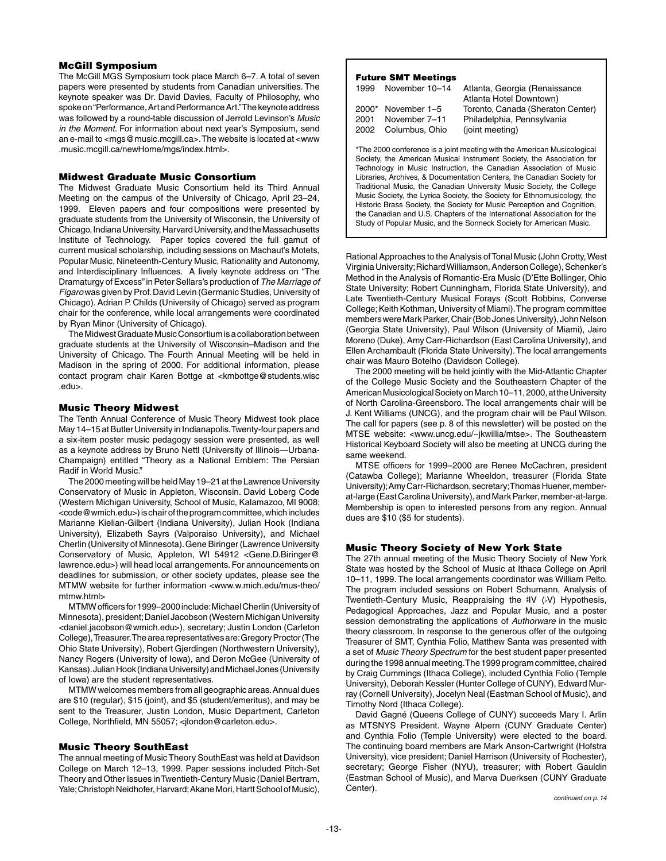## McGill Symposium

The McGill MGS Symposium took place March 6–7. A total of seven papers were presented by students from Canadian universities. The keynote speaker was Dr. David Davies, Faculty of Philosophy, who spoke on "Performance, Art and Performance Art." The keynote address was followed by a round-table discussion of Jerrold Levinson's *Music in the Moment.* For information about next year's Symposium, send an e-mail to <mgs@music.mcgill.ca>. The website is located at <www .music.mcgill.ca/newHome/mgs/index.html>.

## Midwest Graduate Music Consortium

The Midwest Graduate Music Consortium held its Third Annual Meeting on the campus of the University of Chicago, April 23–24, 1999. Eleven papers and four compositions were presented by graduate students from the University of Wisconsin, the University of Chicago, Indiana University, Harvard University, and the Massachusetts Institute of Technology. Paper topics covered the full gamut of current musical scholarship, including sessions on Machaut's Motets, Popular Music, Nineteenth-Century Music, Rationality and Autonomy, and Interdisciplinary Influences. A lively keynote address on "The Dramaturgy of Excess" in Peter Sellars's production of *The Marriage of Figaro* was given by Prof. David Levin (Germanic Studies, University of Chicago). Adrian P. Childs (University of Chicago) served as program chair for the conference, while local arrangements were coordinated by Ryan Minor (University of Chicago).

The Midwest Graduate Music Consortium is a collaboration between graduate students at the University of Wisconsin–Madison and the University of Chicago. The Fourth Annual Meeting will be held in Madison in the spring of 2000. For additional information, please contact program chair Karen Bottge at <kmbottge@students.wisc .edu>.

## Music Theory Midwest

The Tenth Annual Conference of Music Theory Midwest took place May 14–15 at Butler University in Indianapolis. Twenty-four papers and a six-item poster music pedagogy session were presented, as well as a keynote address by Bruno Nettl (University of Illinois—Urbana-Champaign) entitled "Theory as a National Emblem: The Persian Radif in World Music."

The 2000 meeting will be held May 19–21 at the Lawrence University Conservatory of Music in Appleton, Wisconsin. David Loberg Code (Western Michigan University, School of Music, Kalamazoo, MI 9008; <code@wmich.edu>) is chair of the program committee, which includes Marianne Kielian-Gilbert (Indiana University), Julian Hook (Indiana University), Elizabeth Sayrs (Valporaiso University), and Michael Cherlin (University of Minnesota). Gene Biringer (Lawrence University Conservatory of Music, Appleton, WI 54912 <Gene.D.Biringer@ lawrence.edu>) will head local arrangements. For announcements on deadlines for submission, or other society updates, please see the MTMW website for further information <www.w.mich.edu/mus-theo/ mtmw.html>

MTMW officers for 1999–2000 include: Michael Cherlin (University of Minnesota), president; Daniel Jacobson (Western Michigan University <daniel.jacobson@wmich.edu>), secretary; Justin London (Carleton College), Treasurer. The area representatives are: Gregory Proctor (The Ohio State University), Robert Gjerdingen (Northwestern University), Nancy Rogers (University of Iowa), and Deron McGee (University of Kansas). Julian Hook (Indiana University) and Michael Jones (University of Iowa) are the student representatives.

MTMW welcomes members from all geographic areas. Annual dues are \$10 (regular), \$15 (joint), and \$5 (student/emeritus), and may be sent to the Treasurer, Justin London, Music Department, Carleton College, Northfield, MN 55057; <jlondon@carleton.edu>.

# Music Theory SouthEast

The annual meeting of Music Theory SouthEast was held at Davidson College on March 12–13, 1999. Paper sessions included Pitch-Set Theory and Other Issues in Twentieth-Century Music (Daniel Bertram, Yale; Christoph Neidhofer, Harvard; Akane Mori, Hartt School of Music),

# Future SMT Meetings

| 1999 | November 10-14       | Atlanta, Georgia (Renaissance     |
|------|----------------------|-----------------------------------|
|      |                      | Atlanta Hotel Downtown)           |
|      | $2000*$ November 1-5 | Toronto, Canada (Sheraton Center) |
| 2001 | November 7-11        | Philadelphia, Pennsylvania        |
| 2002 | Columbus, Ohio       | (joint meeting)                   |
|      |                      |                                   |

\*The 2000 conference is a joint meeting with the American Musicological Society, the American Musical Instrument Society, the Association for Technology in Music Instruction, the Canadian Association of Music Libraries, Archives, & Documentation Centers, the Canadian Society for Traditional Music, the Canadian University Music Society, the College Music Society, the Lyrica Society, the Society for Ethnomusicology, the Historic Brass Society, the Society for Music Perception and Cognition, the Canadian and U.S. Chapters of the International Association for the Study of Popular Music, and the Sonneck Society for American Music.

Rational Approaches to the Analysis of Tonal Music (John Crotty, West Virginia University; Richard Williamson, Anderson College), Schenker's Method in the Analysis of Romantic-Era Music (D'Ette Bollinger, Ohio State University; Robert Cunningham, Florida State University), and Late Twentieth-Century Musical Forays (Scott Robbins, Converse College; Keith Kothman, University of Miami). The program committee members were Mark Parker, Chair (Bob Jones University), John Nelson (Georgia State University), Paul Wilson (University of Miami), Jairo Moreno (Duke), Amy Carr-Richardson (East Carolina University), and Ellen Archambault (Florida State University). The local arrangements chair was Mauro Botelho (Davidson College).

The 2000 meeting will be held jointly with the Mid-Atlantic Chapter of the College Music Society and the Southeastern Chapter of the American Musicological Society on March 10–11, 2000, at the University of North Carolina-Greensboro. The local arrangements chair will be J. Kent Williams (UNCG), and the program chair will be Paul Wilson. The call for papers (see p. 8 of this newsletter) will be posted on the MTSE website: <www.uncg.edu/~jkwillia/mtse>. The Southeastern Historical Keyboard Society will also be meeting at UNCG during the same weekend.

MTSE officers for 1999–2000 are Renee McCachren, president (Catawba College); Marianne Wheeldon, treasurer (Florida State University); Amy Carr-Richardson, secretary; Thomas Huener, memberat-large (East Carolina University), and Mark Parker, member-at-large. Membership is open to interested persons from any region. Annual dues are \$10 (\$5 for students).

# Music Theory Society of New York State

The 27th annual meeting of the Music Theory Society of New York State was hosted by the School of Music at Ithaca College on April 10–11, 1999. The local arrangements coordinator was William Pelto. The program included sessions on Robert Schumann, Analysis of Twentieth-Century Music, Reappraising the #IV (V) Hypothesis, Pedagogical Approaches, Jazz and Popular Music, and a poster session demonstrating the applications of *Authorware* in the music theory classroom. In response to the generous offer of the outgoing Treasurer of SMT, Cynthia Folio, Matthew Santa was presented with a set of *Music Theory Spectrum* for the best student paper presented during the 1998 annual meeting. The 1999 program committee, chaired by Craig Cummings (Ithaca College), included Cynthia Folio (Temple University), Deborah Kessler (Hunter College of CUNY), Edward Murray (Cornell University), Jocelyn Neal (Eastman School of Music), and Timothy Nord (Ithaca College).

David Gagné (Queens College of CUNY) succeeds Mary I. Arlin as MTSNYS President. Wayne Alpern (CUNY Graduate Center) and Cynthia Folio (Temple University) were elected to the board. The continuing board members are Mark Anson-Cartwright (Hofstra University), vice president; Daniel Harrison (University of Rochester), secretary; George Fisher (NYU), treasurer; with Robert Gauldin (Eastman School of Music), and Marva Duerksen (CUNY Graduate Center).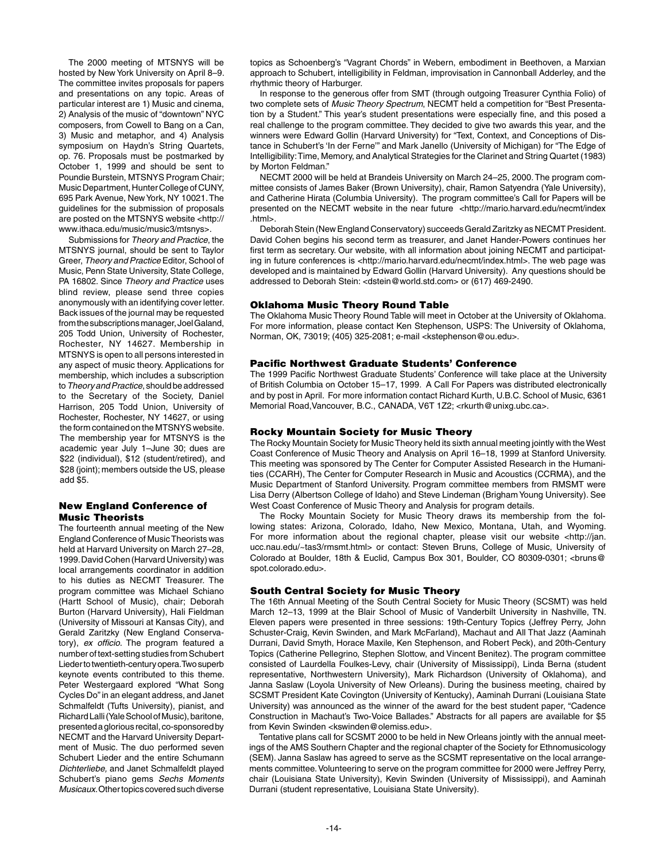The 2000 meeting of MTSNYS will be hosted by New York University on April 8–9. The committee invites proposals for papers and presentations on any topic. Areas of particular interest are 1) Music and cinema, 2) Analysis of the music of "downtown" NYC composers, from Cowell to Bang on a Can, 3) Music and metaphor, and 4) Analysis symposium on Haydn's String Quartets, op. 76. Proposals must be postmarked by October 1, 1999 and should be sent to Poundie Burstein, MTSNYS Program Chair; Music Department, Hunter College of CUNY, 695 Park Avenue, New York, NY 10021. The guidelines for the submission of proposals are posted on the MTSNYS website <http:// www.ithaca.edu/music/music3/mtsnys>.

Submissions for *Theory and Practice*, the MTSNYS journal, should be sent to Taylor Greer, *Theory and Practice* Editor, School of Music, Penn State University, State College, PA 16802. Since *Theory and Practice* uses blind review, please send three copies anonymously with an identifying cover letter. Back issues of the journal may be requested from the subscriptions manager, Joel Galand, 205 Todd Union, University of Rochester, Rochester, NY 14627. Membership in MTSNYS is open to all persons interested in any aspect of music theory. Applications for membership, which includes a subscription to *Theory and Practice*, should be addressed to the Secretary of the Society, Daniel Harrison, 205 Todd Union, University of Rochester, Rochester, NY 14627, or using the form contained on the MTSNYS website. The membership year for MTSNYS is the academic year July 1–June 30; dues are \$22 (individual), \$12 (student/retired), and \$28 (joint); members outside the US, please add \$5.

#### New England Conference of Music Theorists

The fourteenth annual meeting of the New England Conference of Music Theorists was held at Harvard University on March 27–28, 1999. David Cohen (Harvard University) was local arrangements coordinator in addition to his duties as NECMT Treasurer. The program committee was Michael Schiano (Hartt School of Music), chair; Deborah Burton (Harvard University), Hali Fieldman (University of Missouri at Kansas City), and Gerald Zaritzky (New England Conservatory), *ex officio*. The program featured a number of text-setting studies from Schubert Lieder to twentieth-century opera. Two superb keynote events contributed to this theme. Peter Westergaard explored "What Song Cycles Do" in an elegant address, and Janet Schmalfeldt (Tufts University), pianist, and Richard Lalli (Yale School of Music), baritone, presented a glorious recital, co-sponsored by NECMT and the Harvard University Department of Music. The duo performed seven Schubert Lieder and the entire Schumann *Dichterliebe,* and Janet Schmalfeldt played Schubert's piano gems *Sechs Moments Musicaux*. Other topics covered such diverse

topics as Schoenberg's "Vagrant Chords" in Webern, embodiment in Beethoven, a Marxian approach to Schubert, intelligibility in Feldman, improvisation in Cannonball Adderley, and the rhythmic theory of Harburger.

In response to the generous offer from SMT (through outgoing Treasurer Cynthia Folio) of two complete sets of *Music Theory Spectrum*, NECMT held a competition for "Best Presentation by a Student." This year's student presentations were especially fine, and this posed a real challenge to the program committee. They decided to give two awards this year, and the winners were Edward Gollin (Harvard University) for "Text, Context, and Conceptions of Distance in Schubert's 'In der Ferne'" and Mark Janello (University of Michigan) for "The Edge of Intelligibility: Time, Memory, and Analytical Strategies for the Clarinet and String Quartet (1983) by Morton Feldman."

NECMT 2000 will be held at Brandeis University on March 24–25, 2000. The program committee consists of James Baker (Brown University), chair, Ramon Satyendra (Yale University), and Catherine Hirata (Columbia University). The program committee's Call for Papers will be presented on the NECMT website in the near future <http://mario.harvard.edu/necmt/index .html>.

Deborah Stein (New England Conservatory) succeeds Gerald Zaritzky as NECMT President. David Cohen begins his second term as treasurer, and Janet Hander-Powers continues her first term as secretary. Our website, with all information about joining NECMT and participating in future conferences is <http://mario.harvard.edu/necmt/index.html>. The web page was developed and is maintained by Edward Gollin (Harvard University). Any questions should be addressed to Deborah Stein: <dstein@world.std.com> or (617) 469-2490.

## Oklahoma Music Theory Round Table

The Oklahoma Music Theory Round Table will meet in October at the University of Oklahoma. For more information, please contact Ken Stephenson, USPS: The University of Oklahoma, Norman, OK, 73019; (405) 325-2081; e-mail <kstephenson@ou.edu>.

## Pacific Northwest Graduate Students' Conference

The 1999 Pacific Northwest Graduate Students' Conference will take place at the University of British Columbia on October 15–17, 1999. A Call For Papers was distributed electronically and by post in April. For more information contact Richard Kurth, U.B.C. School of Music, 6361 Memorial Road,Vancouver, B.C., CANADA, V6T 1Z2; <rkurth@unixg.ubc.ca>.

#### Rocky Mountain Society for Music Theory

The Rocky Mountain Society for Music Theory held its sixth annual meeting jointly with the West Coast Conference of Music Theory and Analysis on April 16–18, 1999 at Stanford University. This meeting was sponsored by The Center for Computer Assisted Research in the Humanities (CCARH), The Center for Computer Research in Music and Acoustics (CCRMA), and the Music Department of Stanford University. Program committee members from RMSMT were Lisa Derry (Albertson College of Idaho) and Steve Lindeman (Brigham Young University). See West Coast Conference of Music Theory and Analysis for program details.

The Rocky Mountain Society for Music Theory draws its membership from the following states: Arizona, Colorado, Idaho, New Mexico, Montana, Utah, and Wyoming. For more information about the regional chapter, please visit our website <http://jan. ucc.nau.edu/~tas3/rmsmt.html> or contact: Steven Bruns, College of Music, University of Colorado at Boulder, 18th & Euclid, Campus Box 301, Boulder, CO 80309-0301; <bruns@ spot.colorado.edu>.

## South Central Society for Music Theory

The 16th Annual Meeting of the South Central Society for Music Theory (SCSMT) was held March 12–13, 1999 at the Blair School of Music of Vanderbilt University in Nashville, TN. Eleven papers were presented in three sessions: 19th-Century Topics (Jeffrey Perry, John Schuster-Craig, Kevin Swinden, and Mark McFarland), Machaut and All That Jazz (Aaminah Durrani, David Smyth, Horace Maxile, Ken Stephenson, and Robert Peck), and 20th-Century Topics (Catherine Pellegrino, Stephen Slottow, and Vincent Benitez). The program committee consisted of Laurdella Foulkes-Levy, chair (University of Mississippi), Linda Berna (student representative, Northwestern University), Mark Richardson (University of Oklahoma), and Janna Saslaw (Loyola University of New Orleans). During the business meeting, chaired by SCSMT President Kate Covington (University of Kentucky), Aaminah Durrani (Louisiana State University) was announced as the winner of the award for the best student paper, "Cadence Construction in Machaut's Two-Voice Ballades." Abstracts for all papers are available for \$5 from Kevin Swinden <kswinden@olemiss.edu>.

Tentative plans call for SCSMT 2000 to be held in New Orleans jointly with the annual meetings of the AMS Southern Chapter and the regional chapter of the Society for Ethnomusicology (SEM). Janna Saslaw has agreed to serve as the SCSMT representative on the local arrangements committee. Volunteering to serve on the program committee for 2000 were Jeffrey Perry, chair (Louisiana State University), Kevin Swinden (University of Mississippi), and Aaminah Durrani (student representative, Louisiana State University).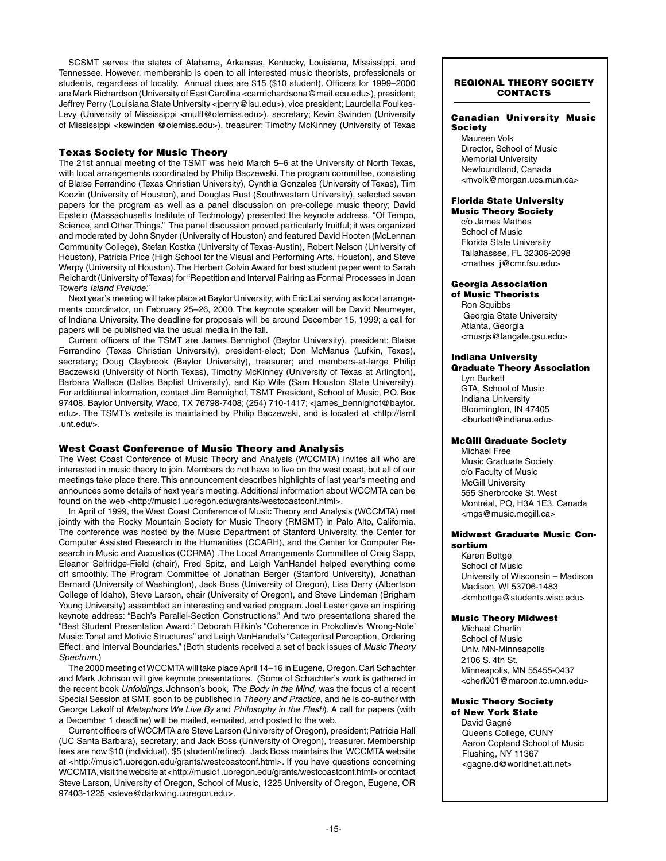SCSMT serves the states of Alabama, Arkansas, Kentucky, Louisiana, Mississippi, and Tennessee. However, membership is open to all interested music theorists, professionals or students, regardless of locality. Annual dues are \$15 (\$10 student). Officers for 1999–2000 are Mark Richardson (University of East Carolina <carrrichardsona@mail.ecu.edu>), president; Jeffrey Perry (Louisiana State University <jperry@lsu.edu>), vice president; Laurdella Foulkes-Levy (University of Mississippi <mulfl@olemiss.edu>), secretary; Kevin Swinden (University of Mississippi <kswinden @olemiss.edu>), treasurer; Timothy McKinney (University of Texas

## Texas Society for Music Theory

The 21st annual meeting of the TSMT was held March 5–6 at the University of North Texas, with local arrangements coordinated by Philip Baczewski. The program committee, consisting of Blaise Ferrandino (Texas Christian University), Cynthia Gonzales (University of Texas), Tim Koozin (University of Houston), and Douglas Rust (Southwestern University), selected seven papers for the program as well as a panel discussion on pre-college music theory; David Epstein (Massachusetts Institute of Technology) presented the keynote address, "Of Tempo, Science, and Other Things." The panel discussion proved particularly fruitful; it was organized and moderated by John Snyder (University of Houston) and featured David Hooten (McLennan Community College), Stefan Kostka (University of Texas-Austin), Robert Nelson (University of Houston), Patricia Price (High School for the Visual and Performing Arts, Houston), and Steve Werpy (University of Houston). The Herbert Colvin Award for best student paper went to Sarah Reichardt (University of Texas) for "Repetition and Interval Pairing as Formal Processes in Joan Tower's *Island Prelude*."

Next year's meeting will take place at Baylor University, with Eric Lai serving as local arrangements coordinator, on February 25–26, 2000. The keynote speaker will be David Neumeyer, of Indiana University. The deadline for proposals will be around December 15, 1999; a call for papers will be published via the usual media in the fall.

Current officers of the TSMT are James Bennighof (Baylor University), president; Blaise Ferrandino (Texas Christian University), president-elect; Don McManus (Lufkin, Texas), secretary; Doug Claybrook (Baylor University), treasurer; and members-at-large Philip Baczewski (University of North Texas), Timothy McKinney (University of Texas at Arlington), Barbara Wallace (Dallas Baptist University), and Kip Wile (Sam Houston State University). For additional information, contact Jim Bennighof, TSMT President, School of Music, P.O. Box 97408, Baylor University, Waco, TX 76798-7408; (254) 710-1417; <james\_bennighof@baylor. edu>. The TSMT's website is maintained by Philip Baczewski, and is located at <http://tsmt .unt.edu/>.

## West Coast Conference of Music Theory and Analysis

The West Coast Conference of Music Theory and Analysis (WCCMTA) invites all who are interested in music theory to join. Members do not have to live on the west coast, but all of our meetings take place there. This announcement describes highlights of last year's meeting and announces some details of next year's meeting. Additional information about WCCMTA can be found on the web <http://music1.uoregon.edu/grants/westcoastconf.html>.

In April of 1999, the West Coast Conference of Music Theory and Analysis (WCCMTA) met jointly with the Rocky Mountain Society for Music Theory (RMSMT) in Palo Alto, California. The conference was hosted by the Music Department of Stanford University, the Center for Computer Assisted Research in the Humanities (CCARH), and the Center for Computer Research in Music and Acoustics (CCRMA) .The Local Arrangements Committee of Craig Sapp, Eleanor Selfridge-Field (chair), Fred Spitz, and Leigh VanHandel helped everything come off smoothly. The Program Committee of Jonathan Berger (Stanford University), Jonathan Bernard (University of Washington), Jack Boss (University of Oregon), Lisa Derry (Albertson College of Idaho), Steve Larson, chair (University of Oregon), and Steve Lindeman (Brigham Young University) assembled an interesting and varied program. Joel Lester gave an inspiring keynote address: "Bach's Parallel-Section Constructions." And two presentations shared the "Best Student Presentation Award:" Deborah Rifkin's "Coherence in Prokofiev's 'Wrong-Note' Music: Tonal and Motivic Structures" and Leigh VanHandel's "Categorical Perception, Ordering Effect, and Interval Boundaries." (Both students received a set of back issues of *Music Theory Spectrum*.)

The 2000 meeting of WCCMTA will take place April 14–16 in Eugene, Oregon. Carl Schachter and Mark Johnson will give keynote presentations. (Some of Schachter's work is gathered in the recent book *Unfoldings*. Johnson's book, *The Body in the Mind,* was the focus of a recent Special Session at SMT, soon to be published in *Theory and Practice*, and he is co-author with George Lakoff of *Metaphors We Live By* and *Philosophy in the Flesh*). A call for papers (with a December 1 deadline) will be mailed, e-mailed, and posted to the web.

Current officers of WCCMTA are Steve Larson (University of Oregon), president; Patricia Hall (UC Santa Barbara), secretary; and Jack Boss (University of Oregon), treasurer. Membership fees are now \$10 (individual), \$5 (student/retired). Jack Boss maintains the WCCMTA website at <http://music1.uoregon.edu/grants/westcoastconf.html>. If you have questions concerning WCCMTA, visit the website at <http://music1.uoregon.edu/grants/westcoastconf.html> or contact Steve Larson, University of Oregon, School of Music, 1225 University of Oregon, Eugene, OR 97403-1225 <steve@darkwing.uoregon.edu>.

## regional theory society **CONTACTS**

#### Canadian University Music **Society**

Maureen Volk Director, School of Music Memorial University Newfoundland, Canada <mvolk@morgan.ucs.mun.ca>

#### Florida State University Music Theory Society

c/o James Mathes School of Music Florida State University Tallahassee, FL 32306-2098 <mathes\_j@cmr.fsu.edu>

## Georgia Association

of Music Theorists Ron Squibbs Georgia State University Atlanta, Georgia <musrjs@langate.gsu.edu>

#### Indiana University

Graduate Theory Association Lyn Burkett GTA, School of Music

Indiana University Bloomington, IN 47405 <lburkett@indiana.edu>

# McGill Graduate Society

Michael Free Music Graduate Society c/o Faculty of Music McGill University 555 Sherbrooke St. West Montréal, PQ, H3A 1E3, Canada <mgs@music.mcgill.ca>

## Midwest Graduate Music Consortium

Karen Bottge School of Music University of Wisconsin – Madison Madison, WI 53706-1483 <kmbottge@students.wisc.edu>

## Music Theory Midwest

Michael Cherlin School of Music Univ. MN-Minneapolis 2106 S. 4th St. Minneapolis, MN 55455-0437 <cherl001@maroon.tc.umn.edu>

#### Music Theory Society of New York State

David Gagné Queens College, CUNY Aaron Copland School of Music Flushing, NY 11367 <gagne.d@worldnet.att.net>